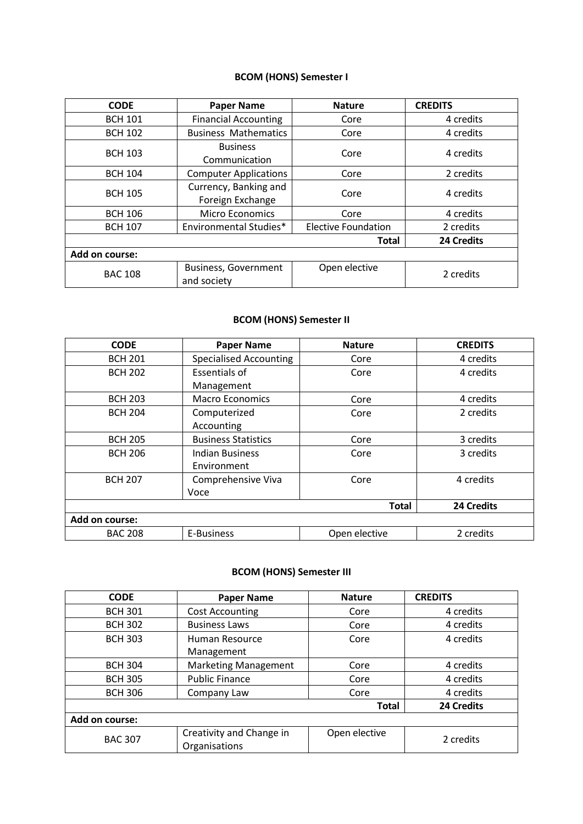# **BCOM (HONS) Semester I**

| <b>CODE</b>                | <b>Paper Name</b>                          | <b>Nature</b>              | <b>CREDITS</b> |
|----------------------------|--------------------------------------------|----------------------------|----------------|
| <b>BCH 101</b>             | <b>Financial Accounting</b>                | Core                       | 4 credits      |
| <b>BCH 102</b>             | <b>Business Mathematics</b>                | Core                       | 4 credits      |
| <b>BCH 103</b>             | <b>Business</b><br>Core<br>Communication   |                            | 4 credits      |
| <b>BCH 104</b>             | <b>Computer Applications</b>               | Core                       | 2 credits      |
| <b>BCH 105</b>             | Currency, Banking and<br>Foreign Exchange  | Core                       | 4 credits      |
| <b>BCH 106</b>             | <b>Micro Economics</b>                     | Core                       | 4 credits      |
| <b>BCH 107</b>             | Environmental Studies*                     | <b>Elective Foundation</b> | 2 credits      |
| 24 Credits<br><b>Total</b> |                                            |                            |                |
| Add on course:             |                                            |                            |                |
| <b>BAC 108</b>             | <b>Business, Government</b><br>and society | Open elective              | 2 credits      |

### **BCOM (HONS) Semester II**

| <b>CODE</b>    | <b>Paper Name</b>             | <b>Nature</b> | <b>CREDITS</b> |
|----------------|-------------------------------|---------------|----------------|
| <b>BCH 201</b> | <b>Specialised Accounting</b> | Core          | 4 credits      |
| <b>BCH 202</b> | Essentials of                 | Core          | 4 credits      |
|                | Management                    |               |                |
| <b>BCH 203</b> | <b>Macro Economics</b>        | Core          | 4 credits      |
| <b>BCH 204</b> | Computerized                  | Core          | 2 credits      |
|                | Accounting                    |               |                |
| <b>BCH 205</b> | <b>Business Statistics</b>    | Core          | 3 credits      |
| <b>BCH 206</b> | Indian Business               | Core          | 3 credits      |
|                | Environment                   |               |                |
| <b>BCH 207</b> | Comprehensive Viva            | Core          | 4 credits      |
|                | Voce                          |               |                |
|                |                               | <b>Total</b>  | 24 Credits     |
| Add on course: |                               |               |                |
| <b>BAC 208</b> | E-Business                    | Open elective | 2 credits      |

#### **BCOM (HONS) Semester III**

| <b>CODE</b>    | <b>Paper Name</b>           | <b>Nature</b> | <b>CREDITS</b> |
|----------------|-----------------------------|---------------|----------------|
| <b>BCH 301</b> | <b>Cost Accounting</b>      | Core          | 4 credits      |
| <b>BCH 302</b> | <b>Business Laws</b>        | Core          | 4 credits      |
| <b>BCH 303</b> | Human Resource              | Core          | 4 credits      |
|                | Management                  |               |                |
| <b>BCH 304</b> | <b>Marketing Management</b> | Core          | 4 credits      |
| <b>BCH 305</b> | <b>Public Finance</b>       | Core          | 4 credits      |
| <b>BCH 306</b> | Company Law                 | Core          | 4 credits      |
|                |                             | <b>Total</b>  | 24 Credits     |
| Add on course: |                             |               |                |
| <b>BAC 307</b> | Creativity and Change in    | Open elective | 2 credits      |
|                | Organisations               |               |                |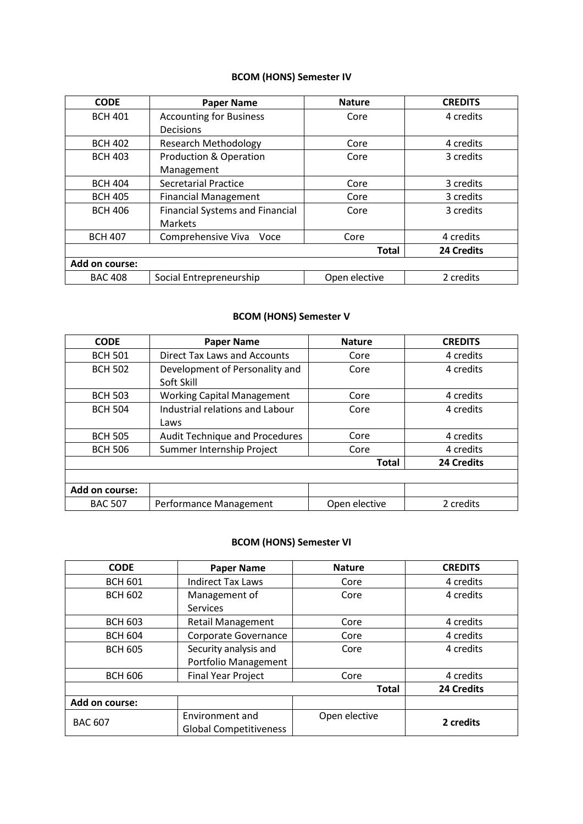# **BCOM (HONS) Semester IV**

| <b>CODE</b>    | <b>Paper Name</b>                      | <b>Nature</b> | <b>CREDITS</b>    |
|----------------|----------------------------------------|---------------|-------------------|
| <b>BCH 401</b> | <b>Accounting for Business</b>         | Core          | 4 credits         |
|                | Decisions                              |               |                   |
| <b>BCH 402</b> | <b>Research Methodology</b>            | Core          | 4 credits         |
| <b>BCH 403</b> | <b>Production &amp; Operation</b>      | Core          | 3 credits         |
|                | Management                             |               |                   |
| <b>BCH 404</b> | <b>Secretarial Practice</b>            | Core          | 3 credits         |
| <b>BCH 405</b> | <b>Financial Management</b>            | Core          | 3 credits         |
| <b>BCH 406</b> | <b>Financial Systems and Financial</b> | Core          | 3 credits         |
|                | <b>Markets</b>                         |               |                   |
| <b>BCH 407</b> | Comprehensive Viva<br>Voce             | Core          | 4 credits         |
|                |                                        | <b>Total</b>  | <b>24 Credits</b> |
| Add on course: |                                        |               |                   |
| <b>BAC 408</b> | Social Entrepreneurship                | Open elective | 2 credits         |

#### **BCOM (HONS) Semester V**

| <b>CODE</b>    | <b>Paper Name</b>                            | <b>Nature</b> | <b>CREDITS</b>    |
|----------------|----------------------------------------------|---------------|-------------------|
| <b>BCH 501</b> | <b>Direct Tax Laws and Accounts</b>          | Core          | 4 credits         |
| <b>BCH 502</b> | Development of Personality and<br>Soft Skill | Core          | 4 credits         |
| <b>BCH 503</b> | <b>Working Capital Management</b>            | Core          | 4 credits         |
| <b>BCH 504</b> | Industrial relations and Labour<br>Laws      | Core          | 4 credits         |
| <b>BCH 505</b> | <b>Audit Technique and Procedures</b>        | Core          | 4 credits         |
| <b>BCH 506</b> | Summer Internship Project                    | Core          | 4 credits         |
|                |                                              | <b>Total</b>  | <b>24 Credits</b> |
|                |                                              |               |                   |
| Add on course: |                                              |               |                   |
| <b>BAC 507</b> | Performance Management                       | Open elective | 2 credits         |

### **BCOM (HONS) Semester VI**

| <b>CODE</b>    | <b>Paper Name</b>                                | <b>Nature</b> | <b>CREDITS</b> |
|----------------|--------------------------------------------------|---------------|----------------|
| <b>BCH 601</b> | <b>Indirect Tax Laws</b>                         | Core          | 4 credits      |
| <b>BCH 602</b> | Management of<br>Core<br><b>Services</b>         |               | 4 credits      |
| <b>BCH 603</b> | <b>Retail Management</b>                         | Core          | 4 credits      |
| <b>BCH 604</b> | Corporate Governance                             | Core          | 4 credits      |
| <b>BCH 605</b> | Security analysis and<br>Portfolio Management    | Core          | 4 credits      |
| <b>BCH 606</b> | <b>Final Year Project</b>                        | Core          | 4 credits      |
|                |                                                  | <b>Total</b>  | 24 Credits     |
| Add on course: |                                                  |               |                |
| <b>BAC 607</b> | Environment and<br><b>Global Competitiveness</b> | Open elective | 2 credits      |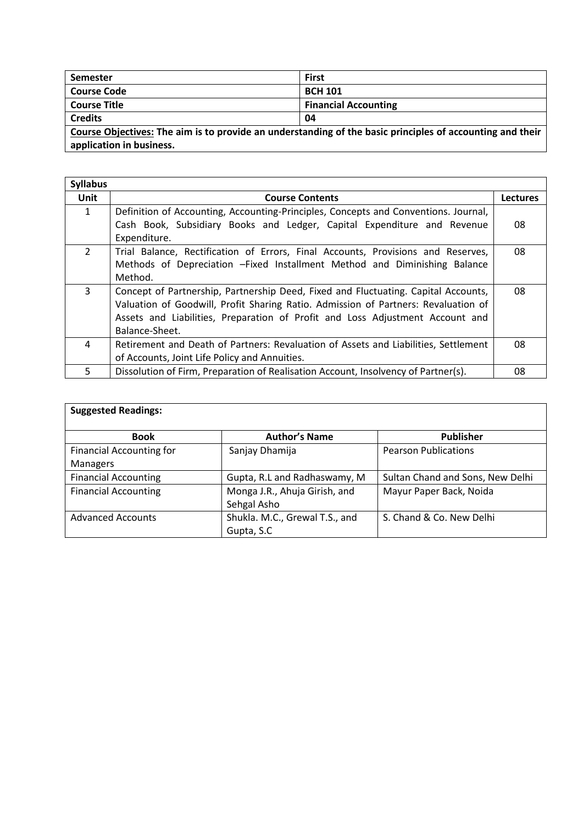| Semester           | <b>First</b>                |
|--------------------|-----------------------------|
| <b>Course Code</b> | <b>BCH 101</b>              |
| Course Title       | <b>Financial Accounting</b> |
| <b>Credits</b>     | 04                          |

**Course Objectives: The aim is to provide an understanding of the basic principles of accounting and their application in business.**

| <b>Syllabus</b> |                                                                                     |                 |
|-----------------|-------------------------------------------------------------------------------------|-----------------|
| <b>Unit</b>     | <b>Course Contents</b>                                                              | <b>Lectures</b> |
| $\mathbf{1}$    | Definition of Accounting, Accounting-Principles, Concepts and Conventions. Journal, |                 |
|                 | Cash Book, Subsidiary Books and Ledger, Capital Expenditure and Revenue             | 08              |
|                 | Expenditure.                                                                        |                 |
| $\overline{2}$  | Trial Balance, Rectification of Errors, Final Accounts, Provisions and Reserves,    | 08              |
|                 | Methods of Depreciation - Fixed Installment Method and Diminishing Balance          |                 |
|                 | Method.                                                                             |                 |
| 3               | Concept of Partnership, Partnership Deed, Fixed and Fluctuating. Capital Accounts,  | 08              |
|                 | Valuation of Goodwill, Profit Sharing Ratio. Admission of Partners: Revaluation of  |                 |
|                 | Assets and Liabilities, Preparation of Profit and Loss Adjustment Account and       |                 |
|                 | Balance-Sheet.                                                                      |                 |
| 4               | Retirement and Death of Partners: Revaluation of Assets and Liabilities, Settlement | 08              |
|                 | of Accounts, Joint Life Policy and Annuities.                                       |                 |
| 5               | Dissolution of Firm, Preparation of Realisation Account, Insolvency of Partner(s).  | 08              |

| <b>Suggested Readings:</b>      |                                |                                  |  |  |
|---------------------------------|--------------------------------|----------------------------------|--|--|
| <b>Book</b>                     | <b>Author's Name</b>           | <b>Publisher</b>                 |  |  |
| <b>Financial Accounting for</b> | Sanjay Dhamija                 | <b>Pearson Publications</b>      |  |  |
| Managers                        |                                |                                  |  |  |
| <b>Financial Accounting</b>     | Gupta, R.L and Radhaswamy, M   | Sultan Chand and Sons, New Delhi |  |  |
| <b>Financial Accounting</b>     | Monga J.R., Ahuja Girish, and  | Mayur Paper Back, Noida          |  |  |
|                                 | Sehgal Asho                    |                                  |  |  |
| <b>Advanced Accounts</b>        | Shukla. M.C., Grewal T.S., and | S. Chand & Co. New Delhi         |  |  |
|                                 | Gupta, S.C.                    |                                  |  |  |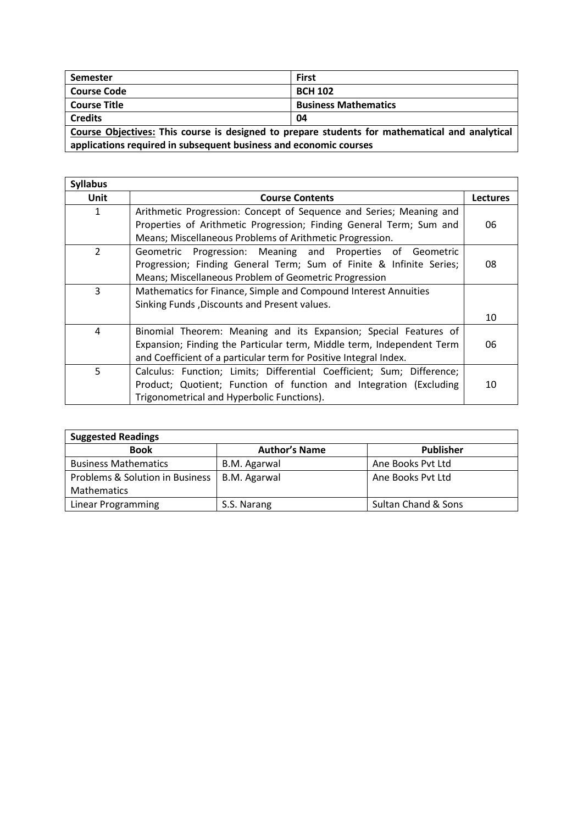| <b>Semester</b>                                                                                | <b>First</b>                |  |
|------------------------------------------------------------------------------------------------|-----------------------------|--|
| <b>Course Code</b>                                                                             | <b>BCH 102</b>              |  |
| <b>Course Title</b>                                                                            | <b>Business Mathematics</b> |  |
| <b>Credits</b>                                                                                 | 04                          |  |
| Course Objectives: This course is designed to prepare students for mathematical and analytical |                             |  |

**applications required in subsequent business and economic courses**

| <b>Syllabus</b> |                                                                        |                 |  |
|-----------------|------------------------------------------------------------------------|-----------------|--|
| Unit            | <b>Course Contents</b>                                                 | <b>Lectures</b> |  |
| 1               | Arithmetic Progression: Concept of Sequence and Series; Meaning and    |                 |  |
|                 | Properties of Arithmetic Progression; Finding General Term; Sum and    | 06              |  |
|                 | Means; Miscellaneous Problems of Arithmetic Progression.               |                 |  |
| $\overline{2}$  | Geometric Progression: Meaning and Properties of Geometric             |                 |  |
|                 | Progression; Finding General Term; Sum of Finite & Infinite Series;    | 08              |  |
|                 | Means; Miscellaneous Problem of Geometric Progression                  |                 |  |
| 3               | Mathematics for Finance, Simple and Compound Interest Annuities        |                 |  |
|                 | Sinking Funds, Discounts and Present values.                           |                 |  |
|                 |                                                                        | 10              |  |
| 4               | Binomial Theorem: Meaning and its Expansion; Special Features of       |                 |  |
|                 | Expansion; Finding the Particular term, Middle term, Independent Term  | 06              |  |
|                 | and Coefficient of a particular term for Positive Integral Index.      |                 |  |
| 5               | Calculus: Function; Limits; Differential Coefficient; Sum; Difference; |                 |  |
|                 | Product; Quotient; Function of function and Integration (Excluding     | 10              |  |
|                 | Trigonometrical and Hyperbolic Functions).                             |                 |  |

| <b>Suggested Readings</b>       |                      |                     |  |  |
|---------------------------------|----------------------|---------------------|--|--|
| <b>Book</b>                     | <b>Author's Name</b> | <b>Publisher</b>    |  |  |
| <b>Business Mathematics</b>     | B.M. Agarwal         | Ane Books Pyt Ltd   |  |  |
| Problems & Solution in Business | B.M. Agarwal         | Ane Books Pyt Ltd   |  |  |
| <b>Mathematics</b>              |                      |                     |  |  |
| Linear Programming              | S.S. Narang          | Sultan Chand & Sons |  |  |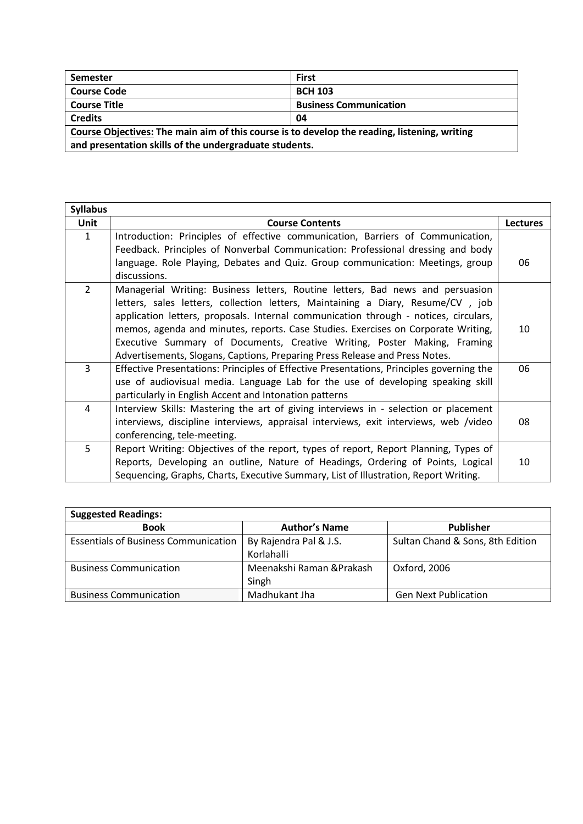| <b>Semester</b>                                                                              | <b>First</b> |  |
|----------------------------------------------------------------------------------------------|--------------|--|
| <b>Course Code</b><br><b>BCH 103</b>                                                         |              |  |
| <b>Course Title</b><br><b>Business Communication</b>                                         |              |  |
| <b>Credits</b><br>04                                                                         |              |  |
| Course Objectives: The main aim of this course is to develop the reading, listening, writing |              |  |
| and presentation skills of the undergraduate students.                                       |              |  |

| <b>Syllabus</b> |                                                                                          |                 |
|-----------------|------------------------------------------------------------------------------------------|-----------------|
| <b>Unit</b>     | <b>Course Contents</b>                                                                   | <b>Lectures</b> |
| $\mathbf{1}$    | Introduction: Principles of effective communication, Barriers of Communication,          |                 |
|                 | Feedback. Principles of Nonverbal Communication: Professional dressing and body          |                 |
|                 | language. Role Playing, Debates and Quiz. Group communication: Meetings, group           | 06              |
|                 | discussions.                                                                             |                 |
| $\overline{2}$  | Managerial Writing: Business letters, Routine letters, Bad news and persuasion           |                 |
|                 | letters, sales letters, collection letters, Maintaining a Diary, Resume/CV, job          |                 |
|                 | application letters, proposals. Internal communication through - notices, circulars,     |                 |
|                 | memos, agenda and minutes, reports. Case Studies. Exercises on Corporate Writing,        | 10              |
|                 | Executive Summary of Documents, Creative Writing, Poster Making, Framing                 |                 |
|                 | Advertisements, Slogans, Captions, Preparing Press Release and Press Notes.              |                 |
| 3               | Effective Presentations: Principles of Effective Presentations, Principles governing the | 06              |
|                 | use of audiovisual media. Language Lab for the use of developing speaking skill          |                 |
|                 | particularly in English Accent and Intonation patterns                                   |                 |
| 4               | Interview Skills: Mastering the art of giving interviews in - selection or placement     |                 |
|                 | interviews, discipline interviews, appraisal interviews, exit interviews, web /video     | 08              |
|                 | conferencing, tele-meeting.                                                              |                 |
| 5               | Report Writing: Objectives of the report, types of report, Report Planning, Types of     |                 |
|                 | Reports, Developing an outline, Nature of Headings, Ordering of Points, Logical          | 10              |
|                 | Sequencing, Graphs, Charts, Executive Summary, List of Illustration, Report Writing.     |                 |

| <b>Suggested Readings:</b>                  |                                      |                                  |
|---------------------------------------------|--------------------------------------|----------------------------------|
| <b>Book</b>                                 | <b>Author's Name</b>                 | <b>Publisher</b>                 |
| <b>Essentials of Business Communication</b> | By Rajendra Pal & J.S.<br>Korlahalli | Sultan Chand & Sons, 8th Edition |
| <b>Business Communication</b>               | Meenakshi Raman & Prakash<br>Singh   | Oxford, 2006                     |
| <b>Business Communication</b>               | Madhukant Jha                        | <b>Gen Next Publication</b>      |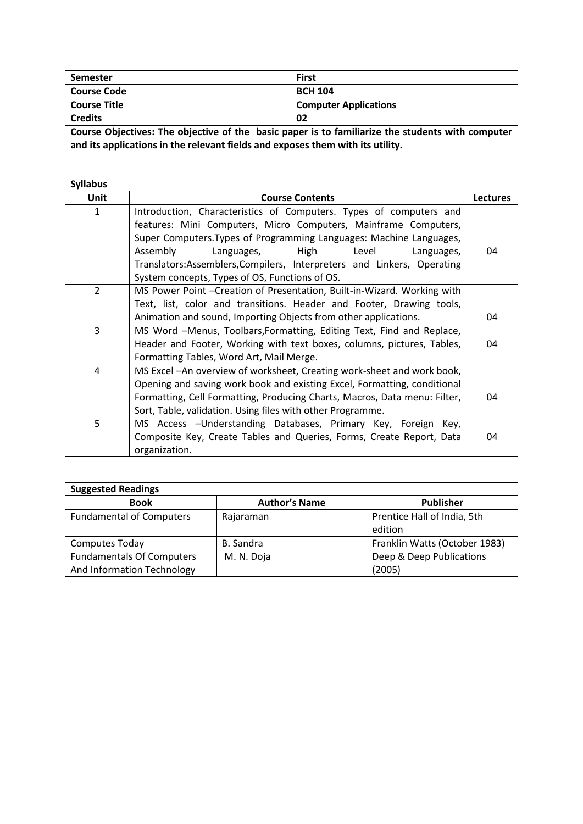| <b>Semester</b>                                                                                  | <b>First</b>                 |  |
|--------------------------------------------------------------------------------------------------|------------------------------|--|
| <b>Course Code</b>                                                                               | <b>BCH 104</b>               |  |
| <b>Course Title</b>                                                                              | <b>Computer Applications</b> |  |
| <b>Credits</b><br>02                                                                             |                              |  |
| Course Objectives: The objective of the basic paper is to familiarize the students with computer |                              |  |

**and its applications in the relevant fields and exposes them with its utility.**

| <b>Syllabus</b> |                                                                           |    |  |
|-----------------|---------------------------------------------------------------------------|----|--|
| Unit            | <b>Course Contents</b>                                                    |    |  |
| $\mathbf{1}$    | Introduction, Characteristics of Computers. Types of computers and        |    |  |
|                 | features: Mini Computers, Micro Computers, Mainframe Computers,           |    |  |
|                 | Super Computers. Types of Programming Languages: Machine Languages,       |    |  |
|                 | Assembly<br>High<br>Languages,<br>Level<br>Languages,                     | 04 |  |
|                 | Translators:Assemblers,Compilers, Interpreters and Linkers, Operating     |    |  |
|                 | System concepts, Types of OS, Functions of OS.                            |    |  |
| 2               | MS Power Point - Creation of Presentation, Built-in-Wizard. Working with  |    |  |
|                 | Text, list, color and transitions. Header and Footer, Drawing tools,      |    |  |
|                 | Animation and sound, Importing Objects from other applications.           | 04 |  |
| 3               | MS Word -Menus, Toolbars, Formatting, Editing Text, Find and Replace,     |    |  |
|                 | Header and Footer, Working with text boxes, columns, pictures, Tables,    |    |  |
|                 | Formatting Tables, Word Art, Mail Merge.                                  |    |  |
| 4               | MS Excel - An overview of worksheet, Creating work-sheet and work book,   |    |  |
|                 | Opening and saving work book and existing Excel, Formatting, conditional  |    |  |
|                 | Formatting, Cell Formatting, Producing Charts, Macros, Data menu: Filter, | 04 |  |
|                 | Sort, Table, validation. Using files with other Programme.                |    |  |
| 5               | MS Access - Understanding Databases, Primary Key, Foreign<br>Kev,         |    |  |
|                 | Composite Key, Create Tables and Queries, Forms, Create Report, Data      | 04 |  |
|                 | organization.                                                             |    |  |

| <b>Suggested Readings</b>        |                      |                               |
|----------------------------------|----------------------|-------------------------------|
| <b>Book</b>                      | <b>Author's Name</b> | <b>Publisher</b>              |
| <b>Fundamental of Computers</b>  | Rajaraman            | Prentice Hall of India, 5th   |
|                                  |                      | edition                       |
| <b>Computes Today</b>            | B. Sandra            | Franklin Watts (October 1983) |
| <b>Fundamentals Of Computers</b> | M. N. Doja           | Deep & Deep Publications      |
| And Information Technology       |                      | (2005)                        |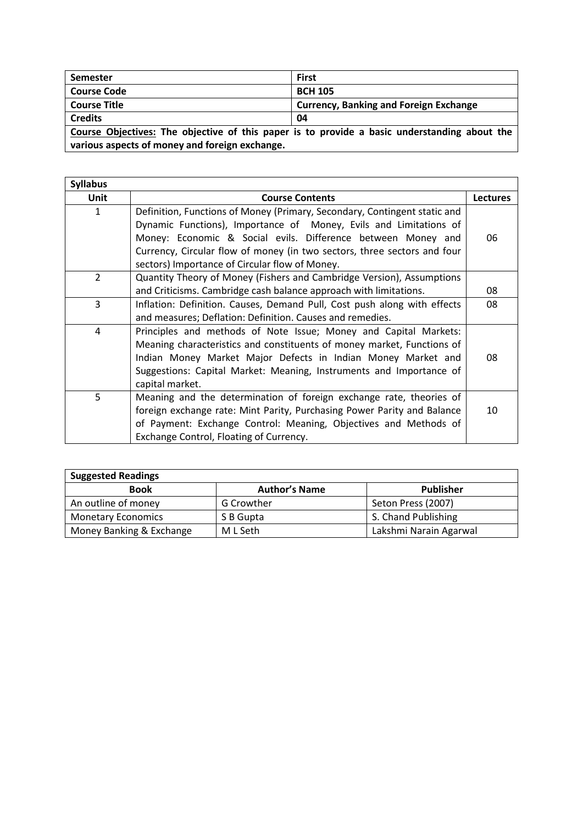| <b>Semester</b>                                                                                                                                | <b>First</b>                                  |  |
|------------------------------------------------------------------------------------------------------------------------------------------------|-----------------------------------------------|--|
| <b>Course Code</b>                                                                                                                             | <b>BCH 105</b>                                |  |
| <b>Course Title</b>                                                                                                                            | <b>Currency, Banking and Foreign Exchange</b> |  |
| <b>Credits</b>                                                                                                                                 | 04                                            |  |
| Course Objectives: The objective of this paper is to provide a basic understanding about the<br>various aspects of money and foreign exchange. |                                               |  |
|                                                                                                                                                |                                               |  |

| <b>Syllabus</b> |                                                                           |                 |
|-----------------|---------------------------------------------------------------------------|-----------------|
| Unit            | <b>Course Contents</b>                                                    | <b>Lectures</b> |
| $\mathbf{1}$    | Definition, Functions of Money (Primary, Secondary, Contingent static and |                 |
|                 | Dynamic Functions), Importance of Money, Evils and Limitations of         |                 |
|                 | Money: Economic & Social evils. Difference between Money and              | 06              |
|                 | Currency, Circular flow of money (in two sectors, three sectors and four  |                 |
|                 | sectors) Importance of Circular flow of Money.                            |                 |
| $\overline{2}$  | Quantity Theory of Money (Fishers and Cambridge Version), Assumptions     |                 |
|                 | and Criticisms. Cambridge cash balance approach with limitations.         | 08              |
| 3               | Inflation: Definition. Causes, Demand Pull, Cost push along with effects  | 08              |
|                 | and measures; Deflation: Definition. Causes and remedies.                 |                 |
| 4               | Principles and methods of Note Issue; Money and Capital Markets:          |                 |
|                 | Meaning characteristics and constituents of money market, Functions of    |                 |
|                 | Indian Money Market Major Defects in Indian Money Market and              | 08              |
|                 | Suggestions: Capital Market: Meaning, Instruments and Importance of       |                 |
|                 | capital market.                                                           |                 |
| 5 <sup>1</sup>  | Meaning and the determination of foreign exchange rate, theories of       |                 |
|                 | foreign exchange rate: Mint Parity, Purchasing Power Parity and Balance   | 10              |
|                 | of Payment: Exchange Control: Meaning, Objectives and Methods of          |                 |
|                 | Exchange Control, Floating of Currency.                                   |                 |

| <b>Suggested Readings</b> |                      |                        |
|---------------------------|----------------------|------------------------|
| <b>Book</b>               | <b>Author's Name</b> | <b>Publisher</b>       |
| An outline of money       | G Crowther           | Seton Press (2007)     |
| <b>Monetary Economics</b> | S B Gupta            | S. Chand Publishing    |
| Money Banking & Exchange  | M L Seth             | Lakshmi Narain Agarwal |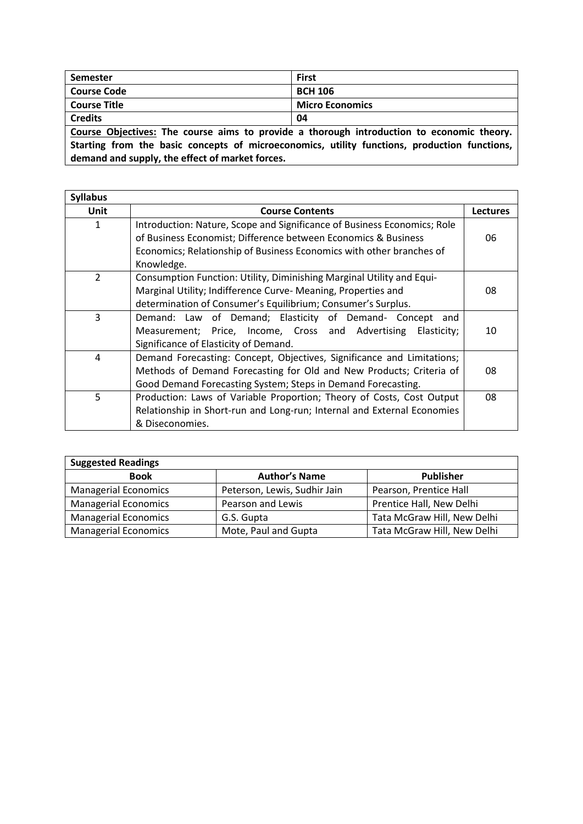| First                                                                                     |
|-------------------------------------------------------------------------------------------|
| <b>BCH 106</b>                                                                            |
| <b>Micro Economics</b>                                                                    |
| 04                                                                                        |
| Course Objectives: The course aims to provide a thorough introduction to economic theory. |
|                                                                                           |

**Starting from the basic concepts of microeconomics, utility functions, production functions, demand and supply, the effect of market forces.**

| <b>Syllabus</b> |                                                                          |    |
|-----------------|--------------------------------------------------------------------------|----|
| Unit            | <b>Course Contents</b>                                                   |    |
| $\mathbf{1}$    | Introduction: Nature, Scope and Significance of Business Economics; Role |    |
|                 | of Business Economist; Difference between Economics & Business           | 06 |
|                 | Economics; Relationship of Business Economics with other branches of     |    |
|                 | Knowledge.                                                               |    |
| $\overline{2}$  | Consumption Function: Utility, Diminishing Marginal Utility and Equi-    |    |
|                 | Marginal Utility; Indifference Curve- Meaning, Properties and            | 08 |
|                 | determination of Consumer's Equilibrium; Consumer's Surplus.             |    |
| 3               | Demand: Law of Demand; Elasticity of Demand- Concept and                 |    |
|                 | Measurement; Price, Income, Cross and Advertising<br>Elasticity;         | 10 |
|                 | Significance of Elasticity of Demand.                                    |    |
| 4               | Demand Forecasting: Concept, Objectives, Significance and Limitations;   |    |
|                 | Methods of Demand Forecasting for Old and New Products; Criteria of      | 08 |
|                 | Good Demand Forecasting System; Steps in Demand Forecasting.             |    |
| 5.              | Production: Laws of Variable Proportion; Theory of Costs, Cost Output    | 08 |
|                 | Relationship in Short-run and Long-run; Internal and External Economies  |    |
|                 | & Diseconomies.                                                          |    |

| <b>Suggested Readings</b>   |                              |                             |
|-----------------------------|------------------------------|-----------------------------|
| <b>Book</b>                 | <b>Author's Name</b>         | <b>Publisher</b>            |
| <b>Managerial Economics</b> | Peterson, Lewis, Sudhir Jain | Pearson, Prentice Hall      |
| <b>Managerial Economics</b> | Pearson and Lewis            | Prentice Hall, New Delhi    |
| <b>Managerial Economics</b> | G.S. Gupta                   | Tata McGraw Hill, New Delhi |
| <b>Managerial Economics</b> | Mote, Paul and Gupta         | Tata McGraw Hill, New Delhi |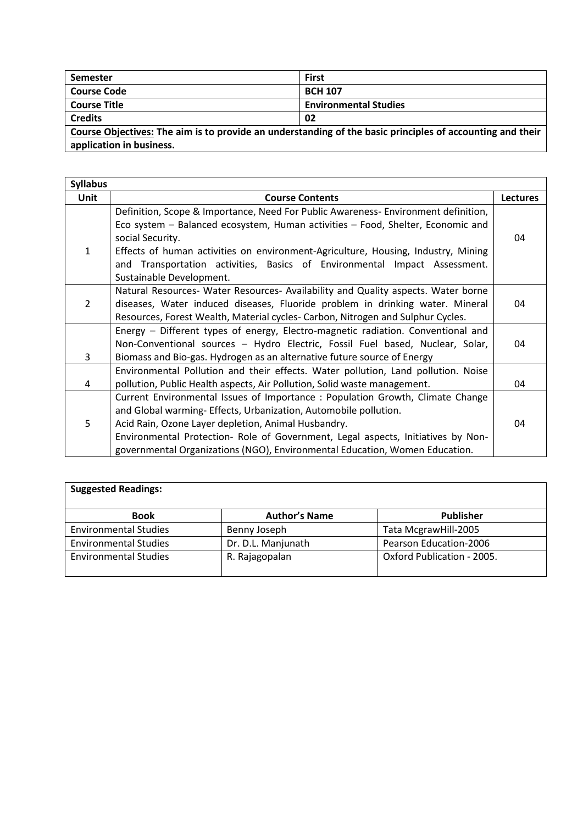| Semester                                                                                                           | <b>First</b>                 |  |
|--------------------------------------------------------------------------------------------------------------------|------------------------------|--|
| Course Code                                                                                                        | <b>BCH 107</b>               |  |
| Course Title                                                                                                       | <b>Environmental Studies</b> |  |
| <b>Credits</b>                                                                                                     | 02                           |  |
| $\Box$ Carrier Objectives: The size is to provide an understanding of the boois principles of accounting and their |                              |  |

**Course Objectives: The aim is to provide an understanding of the basic principles of accounting and their application in business.**

| <b>Syllabus</b> |                                                                                   |                 |
|-----------------|-----------------------------------------------------------------------------------|-----------------|
| Unit            | <b>Course Contents</b>                                                            | <b>Lectures</b> |
|                 | Definition, Scope & Importance, Need For Public Awareness-Environment definition, |                 |
|                 | Eco system - Balanced ecosystem, Human activities - Food, Shelter, Economic and   |                 |
|                 | social Security.                                                                  | 04              |
| $\mathbf{1}$    | Effects of human activities on environment-Agriculture, Housing, Industry, Mining |                 |
|                 | and Transportation activities, Basics of Environmental Impact Assessment.         |                 |
|                 | Sustainable Development.                                                          |                 |
|                 | Natural Resources- Water Resources- Availability and Quality aspects. Water borne |                 |
| $\overline{2}$  | diseases, Water induced diseases, Fluoride problem in drinking water. Mineral     | 04              |
|                 | Resources, Forest Wealth, Material cycles- Carbon, Nitrogen and Sulphur Cycles.   |                 |
|                 | Energy – Different types of energy, Electro-magnetic radiation. Conventional and  |                 |
|                 | Non-Conventional sources - Hydro Electric, Fossil Fuel based, Nuclear, Solar,     | 04              |
| 3               | Biomass and Bio-gas. Hydrogen as an alternative future source of Energy           |                 |
|                 | Environmental Pollution and their effects. Water pollution, Land pollution. Noise |                 |
| 4               | pollution, Public Health aspects, Air Pollution, Solid waste management.          | 04              |
|                 | Current Environmental Issues of Importance: Population Growth, Climate Change     |                 |
|                 | and Global warming- Effects, Urbanization, Automobile pollution.                  |                 |
| 5               | Acid Rain, Ozone Layer depletion, Animal Husbandry.                               | 04              |
|                 | Environmental Protection- Role of Government, Legal aspects, Initiatives by Non-  |                 |
|                 | governmental Organizations (NGO), Environmental Education, Women Education.       |                 |

| <b>Suggested Readings:</b>   |                      |                            |
|------------------------------|----------------------|----------------------------|
| <b>Book</b>                  | <b>Author's Name</b> | <b>Publisher</b>           |
| <b>Environmental Studies</b> | Benny Joseph         | Tata McgrawHill-2005       |
| <b>Environmental Studies</b> | Dr. D.L. Manjunath   | Pearson Education-2006     |
| <b>Environmental Studies</b> | R. Rajagopalan       | Oxford Publication - 2005. |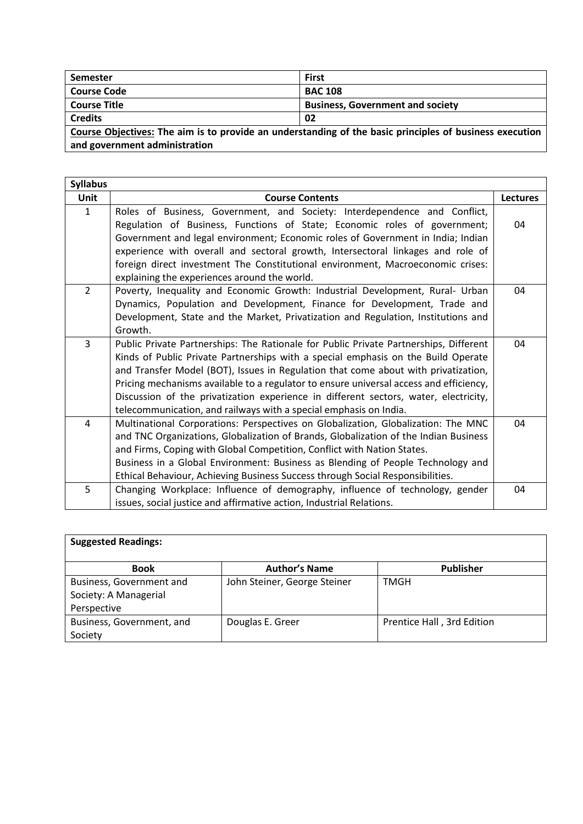| Semester                                                                                                       | <b>First</b>                            |  |
|----------------------------------------------------------------------------------------------------------------|-----------------------------------------|--|
| <b>Course Code</b>                                                                                             | <b>BAC 108</b>                          |  |
| l Course Title                                                                                                 | <b>Business, Government and society</b> |  |
| Credits                                                                                                        | 02                                      |  |
| $\mid$ Course Objectives: The aim is to provide an understanding of the basic principles of business execution |                                         |  |

<u>:</u> The aim is to provide an understanding of the basic principles of business execution **and government administration**

| <b>Syllabus</b> |                                                                                                                                                                                                                                                                                                                                                                                                                                                                                                                         |                 |
|-----------------|-------------------------------------------------------------------------------------------------------------------------------------------------------------------------------------------------------------------------------------------------------------------------------------------------------------------------------------------------------------------------------------------------------------------------------------------------------------------------------------------------------------------------|-----------------|
| <b>Unit</b>     | <b>Course Contents</b>                                                                                                                                                                                                                                                                                                                                                                                                                                                                                                  | <b>Lectures</b> |
| $\mathbf{1}$    | Roles of Business, Government, and Society: Interdependence and Conflict,<br>Regulation of Business, Functions of State; Economic roles of government;<br>Government and legal environment; Economic roles of Government in India; Indian<br>experience with overall and sectoral growth, Intersectoral linkages and role of<br>foreign direct investment The Constitutional environment, Macroeconomic crises:<br>explaining the experiences around the world.                                                         | 04              |
| $\overline{2}$  | Poverty, Inequality and Economic Growth: Industrial Development, Rural- Urban<br>Dynamics, Population and Development, Finance for Development, Trade and<br>Development, State and the Market, Privatization and Regulation, Institutions and<br>Growth.                                                                                                                                                                                                                                                               | 04              |
| 3               | Public Private Partnerships: The Rationale for Public Private Partnerships, Different<br>Kinds of Public Private Partnerships with a special emphasis on the Build Operate<br>and Transfer Model (BOT), Issues in Regulation that come about with privatization,<br>Pricing mechanisms available to a regulator to ensure universal access and efficiency,<br>Discussion of the privatization experience in different sectors, water, electricity,<br>telecommunication, and railways with a special emphasis on India. | 04              |
| 4               | Multinational Corporations: Perspectives on Globalization, Globalization: The MNC<br>and TNC Organizations, Globalization of Brands, Globalization of the Indian Business<br>and Firms, Coping with Global Competition, Conflict with Nation States.<br>Business in a Global Environment: Business as Blending of People Technology and<br>Ethical Behaviour, Achieving Business Success through Social Responsibilities.                                                                                               | 04              |
| 5               | Changing Workplace: Influence of demography, influence of technology, gender<br>issues, social justice and affirmative action, Industrial Relations.                                                                                                                                                                                                                                                                                                                                                                    | 04              |

| <b>Suggested Readings:</b> |                              |                            |
|----------------------------|------------------------------|----------------------------|
| <b>Book</b>                | <b>Author's Name</b>         | <b>Publisher</b>           |
| Business, Government and   | John Steiner, George Steiner | TMGH                       |
| Society: A Managerial      |                              |                            |
| Perspective                |                              |                            |
| Business, Government, and  | Douglas E. Greer             | Prentice Hall, 3rd Edition |
| Society                    |                              |                            |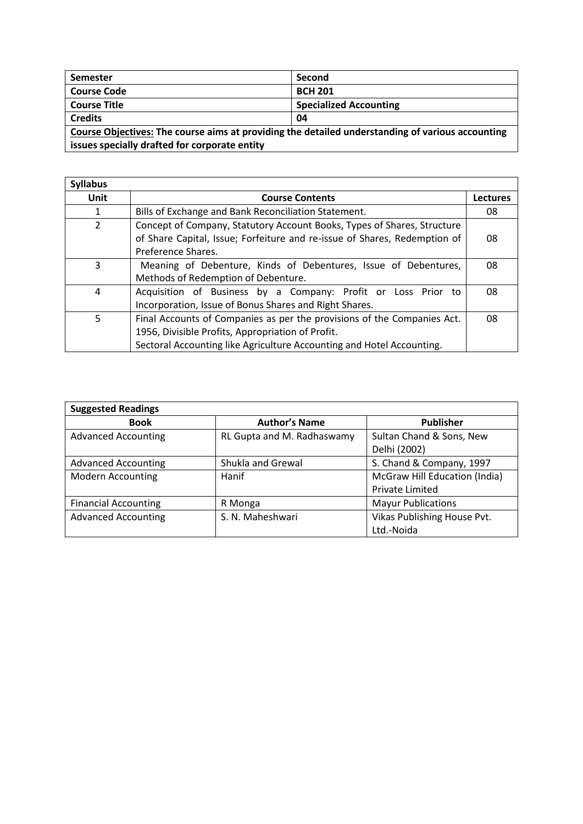| <b>Semester</b>                                                                                  | Second                        |  |
|--------------------------------------------------------------------------------------------------|-------------------------------|--|
| <b>Course Code</b>                                                                               | <b>BCH 201</b>                |  |
| <b>Course Title</b>                                                                              | <b>Specialized Accounting</b> |  |
| <b>Credits</b>                                                                                   | 04                            |  |
| Course Objectives: The course aims at providing the detailed understanding of various accounting |                               |  |
| issues specially drafted for corporate entity                                                    |                               |  |

| <b>Syllabus</b> |                                                                           |                 |
|-----------------|---------------------------------------------------------------------------|-----------------|
| Unit            | <b>Course Contents</b>                                                    | <b>Lectures</b> |
|                 | Bills of Exchange and Bank Reconciliation Statement.                      | 08              |
| 2               | Concept of Company, Statutory Account Books, Types of Shares, Structure   |                 |
|                 | of Share Capital, Issue; Forfeiture and re-issue of Shares, Redemption of | 08              |
|                 | Preference Shares.                                                        |                 |
| 3               | Meaning of Debenture, Kinds of Debentures, Issue of Debentures,           | 08              |
|                 | Methods of Redemption of Debenture.                                       |                 |
| 4               | Acquisition of Business by a Company: Profit or Loss Prior to             | 08              |
|                 | Incorporation, Issue of Bonus Shares and Right Shares.                    |                 |
| 5               | Final Accounts of Companies as per the provisions of the Companies Act.   | 08              |
|                 | 1956, Divisible Profits, Appropriation of Profit.                         |                 |
|                 | Sectoral Accounting like Agriculture Accounting and Hotel Accounting.     |                 |

| <b>Suggested Readings</b>   |                            |                               |  |
|-----------------------------|----------------------------|-------------------------------|--|
| <b>Book</b>                 | <b>Author's Name</b>       | <b>Publisher</b>              |  |
| <b>Advanced Accounting</b>  | RL Gupta and M. Radhaswamy | Sultan Chand & Sons, New      |  |
|                             |                            | Delhi (2002)                  |  |
| <b>Advanced Accounting</b>  | Shukla and Grewal          | S. Chand & Company, 1997      |  |
| <b>Modern Accounting</b>    | Hanif                      | McGraw Hill Education (India) |  |
|                             |                            | Private Limited               |  |
| <b>Financial Accounting</b> | R Monga                    | <b>Mayur Publications</b>     |  |
| <b>Advanced Accounting</b>  | S. N. Maheshwari           | Vikas Publishing House Pvt.   |  |
|                             |                            | Ltd.-Noida                    |  |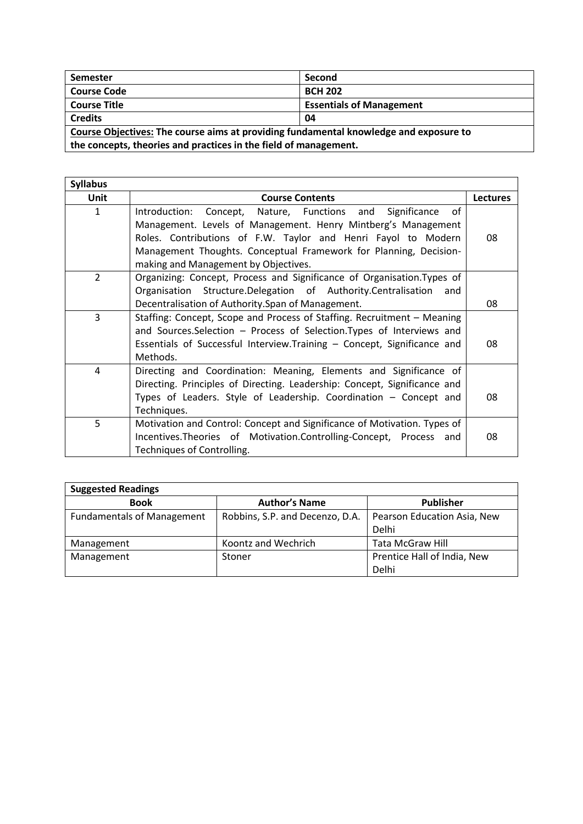| Semester                                                                              | Second                          |  |
|---------------------------------------------------------------------------------------|---------------------------------|--|
| <b>Course Code</b>                                                                    | <b>BCH 202</b>                  |  |
| <b>Course Title</b>                                                                   | <b>Essentials of Management</b> |  |
| <b>Credits</b><br>04                                                                  |                                 |  |
| Course Objectives: The course aims at providing fundamental knowledge and exposure to |                                 |  |

**the concepts, theories and practices in the field of management.**

| <b>Syllabus</b> |                                                                                                                                                                                                                                                                                                                |                 |
|-----------------|----------------------------------------------------------------------------------------------------------------------------------------------------------------------------------------------------------------------------------------------------------------------------------------------------------------|-----------------|
| <b>Unit</b>     | <b>Course Contents</b>                                                                                                                                                                                                                                                                                         | <b>Lectures</b> |
| $\mathbf{1}$    | of<br>Introduction: Concept, Nature, Functions and Significance<br>Management. Levels of Management. Henry Mintberg's Management<br>Roles. Contributions of F.W. Taylor and Henri Fayol to Modern<br>Management Thoughts. Conceptual Framework for Planning, Decision-<br>making and Management by Objectives. | 08              |
| 2               | Organizing: Concept, Process and Significance of Organisation. Types of<br>Organisation Structure.Delegation of Authority.Centralisation<br>and<br>Decentralisation of Authority. Span of Management.                                                                                                          | 08              |
| 3               | Staffing: Concept, Scope and Process of Staffing. Recruitment – Meaning<br>and Sources. Selection - Process of Selection. Types of Interviews and<br>Essentials of Successful Interview. Training - Concept, Significance and<br>Methods.                                                                      | 08              |
| 4               | Directing and Coordination: Meaning, Elements and Significance of<br>Directing. Principles of Directing. Leadership: Concept, Significance and<br>Types of Leaders. Style of Leadership. Coordination - Concept and<br>Techniques.                                                                             | 08              |
| 5               | Motivation and Control: Concept and Significance of Motivation. Types of<br>Incentives. Theories of Motivation. Controlling-Concept, Process and<br>Techniques of Controlling.                                                                                                                                 | 08              |

| <b>Suggested Readings</b>         |                                 |                             |  |
|-----------------------------------|---------------------------------|-----------------------------|--|
| <b>Book</b>                       | <b>Author's Name</b>            | <b>Publisher</b>            |  |
| <b>Fundamentals of Management</b> | Robbins, S.P. and Decenzo, D.A. | Pearson Education Asia, New |  |
|                                   |                                 | Delhi                       |  |
| Management                        | Koontz and Wechrich             | <b>Tata McGraw Hill</b>     |  |
| Management                        | Stoner                          | Prentice Hall of India, New |  |
|                                   |                                 | Delhi                       |  |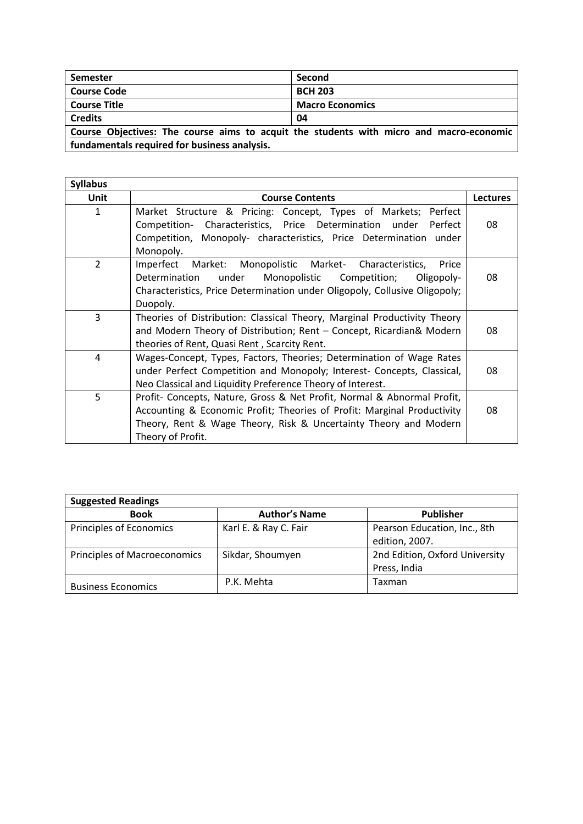| Semester                                                                                | Second                 |  |
|-----------------------------------------------------------------------------------------|------------------------|--|
| <b>Course Code</b>                                                                      | <b>BCH 203</b>         |  |
| <b>Course Title</b>                                                                     | <b>Macro Economics</b> |  |
| <b>Credits</b>                                                                          | 04                     |  |
| Course Objectives: The course aims to acquit the students with micro and macro-economic |                        |  |
| fundamentals required for business analysis.                                            |                        |  |

| <b>Syllabus</b> |                                                                                                                                                                                                                                             |                 |
|-----------------|---------------------------------------------------------------------------------------------------------------------------------------------------------------------------------------------------------------------------------------------|-----------------|
| Unit            | <b>Course Contents</b>                                                                                                                                                                                                                      | <b>Lectures</b> |
| 1               | Market Structure & Pricing: Concept, Types of Markets;<br>Perfect<br>Competition- Characteristics, Price Determination under<br>Perfect<br>Competition, Monopoly- characteristics, Price Determination under<br>Monopoly.                   | 08              |
| 2               | Imperfect Market: Monopolistic Market- Characteristics,<br>Price<br>under<br>Determination<br>Monopolistic<br>Competition;<br>Oligopoly-<br>Characteristics, Price Determination under Oligopoly, Collusive Oligopoly;<br>Duopoly.          | 08              |
| 3               | Theories of Distribution: Classical Theory, Marginal Productivity Theory<br>and Modern Theory of Distribution; Rent - Concept, Ricardian& Modern<br>theories of Rent, Quasi Rent, Scarcity Rent.                                            | 08              |
| 4               | Wages-Concept, Types, Factors, Theories; Determination of Wage Rates<br>under Perfect Competition and Monopoly; Interest- Concepts, Classical,<br>Neo Classical and Liquidity Preference Theory of Interest.                                | 08              |
| 5               | Profit- Concepts, Nature, Gross & Net Profit, Normal & Abnormal Profit,<br>Accounting & Economic Profit; Theories of Profit: Marginal Productivity<br>Theory, Rent & Wage Theory, Risk & Uncertainty Theory and Modern<br>Theory of Profit. | 08              |

| <b>Suggested Readings</b>           |                       |                                |  |
|-------------------------------------|-----------------------|--------------------------------|--|
| <b>Book</b>                         | <b>Author's Name</b>  | Publisher                      |  |
| Principles of Economics             | Karl E. & Ray C. Fair | Pearson Education, Inc., 8th   |  |
|                                     |                       | edition, 2007.                 |  |
| <b>Principles of Macroeconomics</b> | Sikdar, Shoumyen      | 2nd Edition, Oxford University |  |
|                                     |                       | Press, India                   |  |
| <b>Business Economics</b>           | P.K. Mehta            | Taxman                         |  |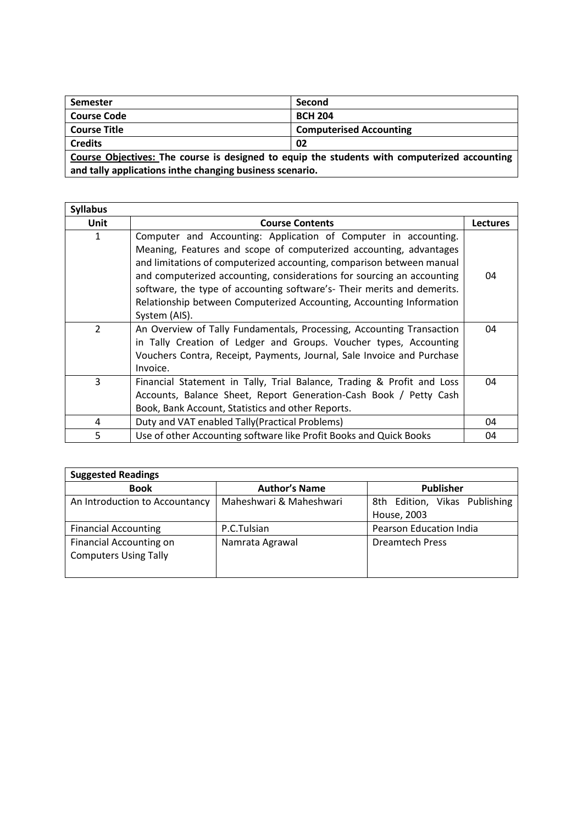| <b>Semester</b>                                                                              | Second                         |  |
|----------------------------------------------------------------------------------------------|--------------------------------|--|
| <b>Course Code</b>                                                                           | <b>BCH 204</b>                 |  |
| <b>Course Title</b>                                                                          | <b>Computerised Accounting</b> |  |
| <b>Credits</b><br>02                                                                         |                                |  |
| Course Objectives: The course is designed to equip the students with computerized accounting |                                |  |
| and tally applications inthe changing business scenario.                                     |                                |  |

| <b>Syllabus</b> |                                                                                                                                                                                                                                                                                                                                                                                                                                                              |                 |
|-----------------|--------------------------------------------------------------------------------------------------------------------------------------------------------------------------------------------------------------------------------------------------------------------------------------------------------------------------------------------------------------------------------------------------------------------------------------------------------------|-----------------|
| <b>Unit</b>     | <b>Course Contents</b>                                                                                                                                                                                                                                                                                                                                                                                                                                       | <b>Lectures</b> |
| 1               | Computer and Accounting: Application of Computer in accounting.<br>Meaning, Features and scope of computerized accounting, advantages<br>and limitations of computerized accounting, comparison between manual<br>and computerized accounting, considerations for sourcing an accounting<br>software, the type of accounting software's- Their merits and demerits.<br>Relationship between Computerized Accounting, Accounting Information<br>System (AIS). | 04              |
| $\overline{2}$  | An Overview of Tally Fundamentals, Processing, Accounting Transaction<br>in Tally Creation of Ledger and Groups. Voucher types, Accounting<br>Vouchers Contra, Receipt, Payments, Journal, Sale Invoice and Purchase<br>Invoice.                                                                                                                                                                                                                             | 04              |
| 3               | Financial Statement in Tally, Trial Balance, Trading & Profit and Loss<br>Accounts, Balance Sheet, Report Generation-Cash Book / Petty Cash<br>Book, Bank Account, Statistics and other Reports.                                                                                                                                                                                                                                                             | 04              |
| 4               | Duty and VAT enabled Tally (Practical Problems)                                                                                                                                                                                                                                                                                                                                                                                                              | 04              |
| 5               | Use of other Accounting software like Profit Books and Quick Books                                                                                                                                                                                                                                                                                                                                                                                           | 04              |

| <b>Suggested Readings</b>                                      |                         |                                              |
|----------------------------------------------------------------|-------------------------|----------------------------------------------|
| <b>Book</b>                                                    | <b>Author's Name</b>    | <b>Publisher</b>                             |
| An Introduction to Accountancy                                 | Maheshwari & Maheshwari | 8th Edition, Vikas Publishing<br>House, 2003 |
| <b>Financial Accounting</b>                                    | P.C.Tulsian             | Pearson Education India                      |
| <b>Financial Accounting on</b><br><b>Computers Using Tally</b> | Namrata Agrawal         | <b>Dreamtech Press</b>                       |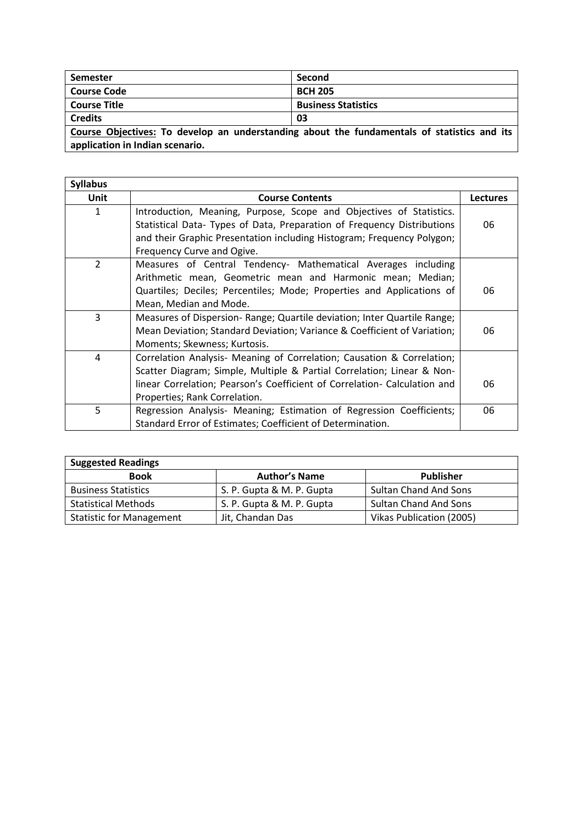| Semester                                                                                    | Second                     |  |
|---------------------------------------------------------------------------------------------|----------------------------|--|
| <b>Course Code</b>                                                                          | <b>BCH 205</b>             |  |
| <b>Course Title</b>                                                                         | <b>Business Statistics</b> |  |
| <b>Credits</b>                                                                              | 03                         |  |
| Course Objectives: To develop an understanding about the fundamentals of statistics and its |                            |  |
| application in Indian scenario.                                                             |                            |  |

| <b>Syllabus</b> |                                                                           |                 |
|-----------------|---------------------------------------------------------------------------|-----------------|
| <b>Unit</b>     | <b>Course Contents</b>                                                    | <b>Lectures</b> |
| 1               | Introduction, Meaning, Purpose, Scope and Objectives of Statistics.       |                 |
|                 | Statistical Data- Types of Data, Preparation of Frequency Distributions   | 06              |
|                 | and their Graphic Presentation including Histogram; Frequency Polygon;    |                 |
|                 | Frequency Curve and Ogive.                                                |                 |
| $\overline{2}$  | Measures of Central Tendency- Mathematical Averages including             |                 |
|                 | Arithmetic mean, Geometric mean and Harmonic mean; Median;                |                 |
|                 | Quartiles; Deciles; Percentiles; Mode; Properties and Applications of     | 06              |
|                 | Mean, Median and Mode.                                                    |                 |
| 3               | Measures of Dispersion- Range; Quartile deviation; Inter Quartile Range;  |                 |
|                 | Mean Deviation; Standard Deviation; Variance & Coefficient of Variation;  | 06              |
|                 | Moments; Skewness; Kurtosis.                                              |                 |
| 4               | Correlation Analysis- Meaning of Correlation; Causation & Correlation;    |                 |
|                 | Scatter Diagram; Simple, Multiple & Partial Correlation; Linear & Non-    |                 |
|                 | linear Correlation; Pearson's Coefficient of Correlation- Calculation and | 06              |
|                 | Properties; Rank Correlation.                                             |                 |
| 5               | Regression Analysis- Meaning; Estimation of Regression Coefficients;      | 06              |
|                 | Standard Error of Estimates; Coefficient of Determination.                |                 |

| <b>Suggested Readings</b>       |                           |                              |
|---------------------------------|---------------------------|------------------------------|
| <b>Book</b>                     | <b>Author's Name</b>      | <b>Publisher</b>             |
| <b>Business Statistics</b>      | S. P. Gupta & M. P. Gupta | <b>Sultan Chand And Sons</b> |
| <b>Statistical Methods</b>      | S. P. Gupta & M. P. Gupta | <b>Sultan Chand And Sons</b> |
| <b>Statistic for Management</b> | Jit, Chandan Das          | Vikas Publication (2005)     |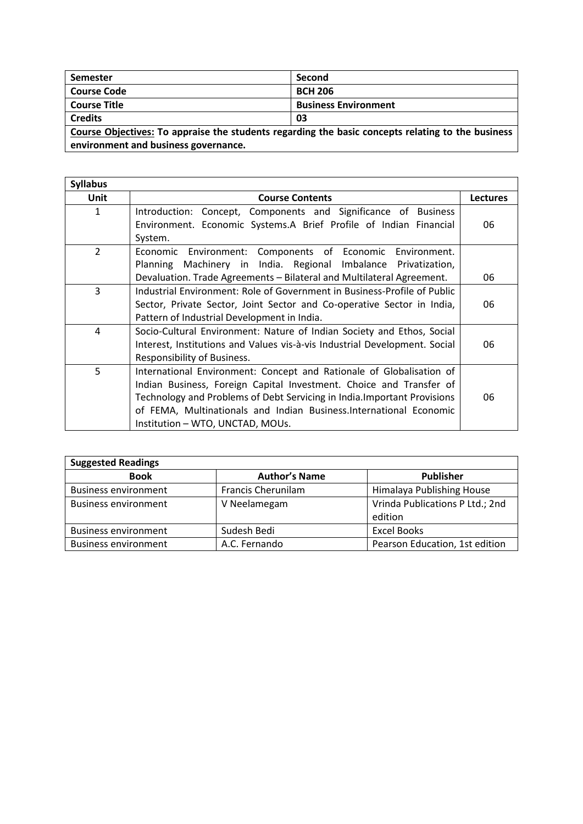| <b>Semester</b>                                                                                   | Second                      |  |
|---------------------------------------------------------------------------------------------------|-----------------------------|--|
| <b>Course Code</b>                                                                                | <b>BCH 206</b>              |  |
| <b>Course Title</b>                                                                               | <b>Business Environment</b> |  |
| <b>Credits</b>                                                                                    | 03                          |  |
| Course Objectives: To appraise the students regarding the basic concepts relating to the business |                             |  |

**environment and business governance.** the contract of the contract of the contract of the contract of the contract of

| <b>Syllabus</b> |                                                                            |                 |
|-----------------|----------------------------------------------------------------------------|-----------------|
| <b>Unit</b>     | <b>Course Contents</b>                                                     | <b>Lectures</b> |
| 1               | Concept, Components and Significance of Business<br>Introduction:          |                 |
|                 | Environment. Economic Systems.A Brief Profile of Indian Financial          | 06              |
|                 | System.                                                                    |                 |
| $\overline{2}$  | Economic Environment: Components of Economic Environment.                  |                 |
|                 | Machinery in India. Regional Imbalance Privatization,<br>Planning          |                 |
|                 | Devaluation. Trade Agreements - Bilateral and Multilateral Agreement.      | 06              |
| $\overline{3}$  | Industrial Environment: Role of Government in Business-Profile of Public   |                 |
|                 | Sector, Private Sector, Joint Sector and Co-operative Sector in India,     | 06              |
|                 | Pattern of Industrial Development in India.                                |                 |
| 4               | Socio-Cultural Environment: Nature of Indian Society and Ethos, Social     |                 |
|                 | Interest, Institutions and Values vis-à-vis Industrial Development. Social | 06              |
|                 | Responsibility of Business.                                                |                 |
| 5               | International Environment: Concept and Rationale of Globalisation of       |                 |
|                 | Indian Business, Foreign Capital Investment. Choice and Transfer of        |                 |
|                 | Technology and Problems of Debt Servicing in India. Important Provisions   | 06              |
|                 | of FEMA, Multinationals and Indian Business. International Economic        |                 |
|                 | Institution - WTO, UNCTAD, MOUs.                                           |                 |

| <b>Suggested Readings</b>   |                           |                                 |
|-----------------------------|---------------------------|---------------------------------|
| <b>Book</b>                 | <b>Author's Name</b>      | <b>Publisher</b>                |
| <b>Business environment</b> | <b>Francis Cherunilam</b> | Himalaya Publishing House       |
| <b>Business environment</b> | V Neelamegam              | Vrinda Publications P Ltd.; 2nd |
|                             |                           | edition                         |
| <b>Business environment</b> | Sudesh Bedi               | <b>Excel Books</b>              |
| <b>Business environment</b> | A.C. Fernando             | Pearson Education, 1st edition  |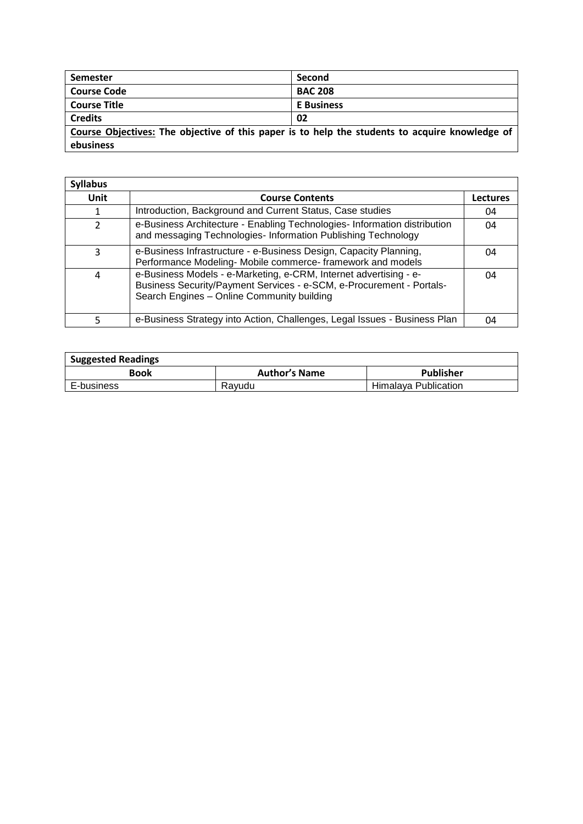| <b>Semester</b>     | Second                                                                                         |
|---------------------|------------------------------------------------------------------------------------------------|
| <b>Course Code</b>  | <b>BAC 208</b>                                                                                 |
| <b>Course Title</b> | <b>E</b> Business                                                                              |
| <b>Credits</b>      | 02                                                                                             |
|                     | Course Objectives: The objective of this paper is to help the students to acquire knowledge of |
| ebusiness           |                                                                                                |

| <b>Syllabus</b> |                                                                                                                                                                                         |                 |
|-----------------|-----------------------------------------------------------------------------------------------------------------------------------------------------------------------------------------|-----------------|
| Unit            | <b>Course Contents</b>                                                                                                                                                                  | <b>Lectures</b> |
|                 | Introduction, Background and Current Status, Case studies                                                                                                                               | 04              |
| $\mathcal{P}$   | e-Business Architecture - Enabling Technologies- Information distribution<br>and messaging Technologies- Information Publishing Technology                                              | 04              |
| 3               | e-Business Infrastructure - e-Business Design, Capacity Planning,<br>Performance Modeling- Mobile commerce- framework and models                                                        | 04              |
| 4               | e-Business Models - e-Marketing, e-CRM, Internet advertising - e-<br>Business Security/Payment Services - e-SCM, e-Procurement - Portals-<br>Search Engines - Online Community building | 04              |
|                 | e-Business Strategy into Action, Challenges, Legal Issues - Business Plan                                                                                                               | 04              |

| <b>Suggested Readings</b> |                      |                      |
|---------------------------|----------------------|----------------------|
| Book                      | <b>Author's Name</b> | <b>Publisher</b>     |
| E-business                | Ravudu               | Himalava Publication |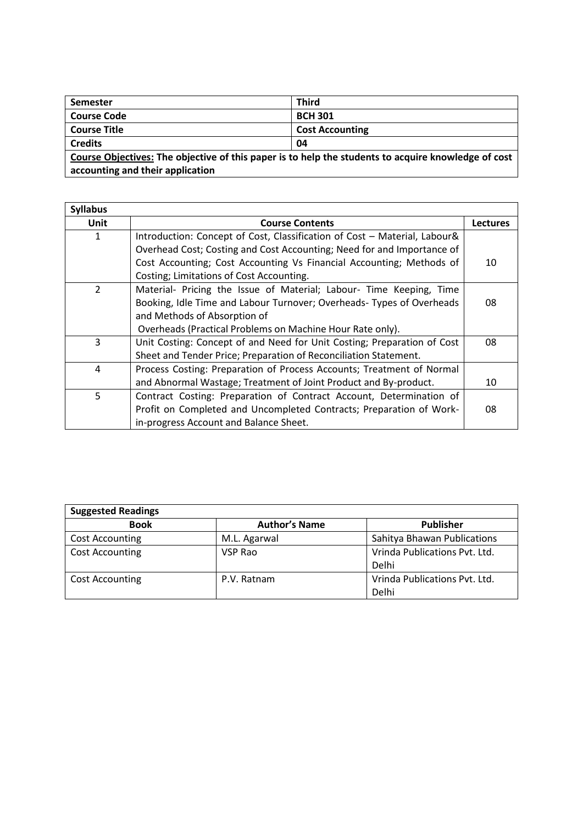| Semester                         | <b>Third</b>                                                                                        |  |
|----------------------------------|-----------------------------------------------------------------------------------------------------|--|
| <b>Course Code</b>               | <b>BCH 301</b>                                                                                      |  |
| <b>Course Title</b>              | <b>Cost Accounting</b>                                                                              |  |
| <b>Credits</b>                   | 04                                                                                                  |  |
|                                  | Course Objectives: The objective of this paper is to help the students to acquire knowledge of cost |  |
| accounting and their application |                                                                                                     |  |

| <b>Syllabus</b> |                                                                           |                 |
|-----------------|---------------------------------------------------------------------------|-----------------|
| Unit            | <b>Course Contents</b>                                                    | <b>Lectures</b> |
| 1               | Introduction: Concept of Cost, Classification of Cost - Material, Labour& |                 |
|                 | Overhead Cost; Costing and Cost Accounting; Need for and Importance of    |                 |
|                 | Cost Accounting; Cost Accounting Vs Financial Accounting; Methods of      | 10              |
|                 | Costing; Limitations of Cost Accounting.                                  |                 |
| $\overline{2}$  | Material- Pricing the Issue of Material; Labour- Time Keeping, Time       |                 |
|                 | Booking, Idle Time and Labour Turnover; Overheads- Types of Overheads     | 08              |
|                 | and Methods of Absorption of                                              |                 |
|                 | Overheads (Practical Problems on Machine Hour Rate only).                 |                 |
| 3               | Unit Costing: Concept of and Need for Unit Costing; Preparation of Cost   | 08              |
|                 | Sheet and Tender Price; Preparation of Reconciliation Statement.          |                 |
| $\overline{4}$  | Process Costing: Preparation of Process Accounts; Treatment of Normal     |                 |
|                 | and Abnormal Wastage; Treatment of Joint Product and By-product.          | 10              |
| 5               | Contract Costing: Preparation of Contract Account, Determination of       |                 |
|                 | Profit on Completed and Uncompleted Contracts; Preparation of Work-       | 08              |
|                 | in-progress Account and Balance Sheet.                                    |                 |

| <b>Suggested Readings</b> |                      |                               |
|---------------------------|----------------------|-------------------------------|
| <b>Book</b>               | <b>Author's Name</b> | <b>Publisher</b>              |
| <b>Cost Accounting</b>    | M.L. Agarwal         | Sahitya Bhawan Publications   |
| <b>Cost Accounting</b>    | VSP Rao              | Vrinda Publications Pvt. Ltd. |
|                           |                      | Delhi                         |
| <b>Cost Accounting</b>    | P.V. Ratnam          | Vrinda Publications Pvt. Ltd. |
|                           |                      | Delhi                         |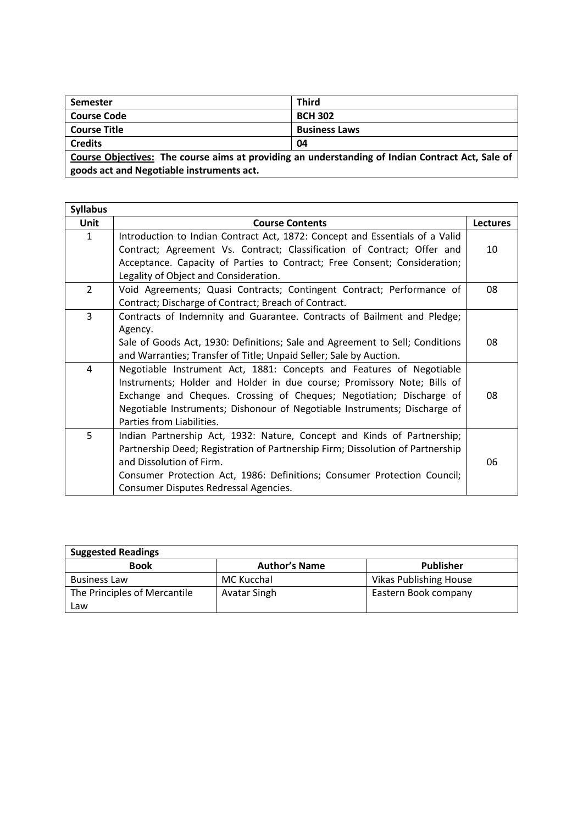| Semester                                                                                         | <b>Third</b>         |  |
|--------------------------------------------------------------------------------------------------|----------------------|--|
| <b>Course Code</b>                                                                               | <b>BCH 302</b>       |  |
| <b>Course Title</b>                                                                              | <b>Business Laws</b> |  |
| <b>Credits</b>                                                                                   | 04                   |  |
| Course Objectives: The course aims at providing an understanding of Indian Contract Act, Sale of |                      |  |
| goods act and Negotiable instruments act.                                                        |                      |  |

| <b>Syllabus</b> |                                                                                |                 |
|-----------------|--------------------------------------------------------------------------------|-----------------|
| Unit            | <b>Course Contents</b>                                                         | <b>Lectures</b> |
| $\mathbf{1}$    | Introduction to Indian Contract Act, 1872: Concept and Essentials of a Valid   |                 |
|                 | Contract; Agreement Vs. Contract; Classification of Contract; Offer and        | 10              |
|                 | Acceptance. Capacity of Parties to Contract; Free Consent; Consideration;      |                 |
|                 | Legality of Object and Consideration.                                          |                 |
| $\overline{2}$  | Void Agreements; Quasi Contracts; Contingent Contract; Performance of          | 08              |
|                 | Contract; Discharge of Contract; Breach of Contract.                           |                 |
| 3               | Contracts of Indemnity and Guarantee. Contracts of Bailment and Pledge;        |                 |
|                 | Agency.                                                                        |                 |
|                 | Sale of Goods Act, 1930: Definitions; Sale and Agreement to Sell; Conditions   | 08              |
|                 | and Warranties; Transfer of Title; Unpaid Seller; Sale by Auction.             |                 |
| 4               | Negotiable Instrument Act, 1881: Concepts and Features of Negotiable           |                 |
|                 | Instruments; Holder and Holder in due course; Promissory Note; Bills of        |                 |
|                 | Exchange and Cheques. Crossing of Cheques; Negotiation; Discharge of           | 08              |
|                 | Negotiable Instruments; Dishonour of Negotiable Instruments; Discharge of      |                 |
|                 | Parties from Liabilities.                                                      |                 |
| 5               | Indian Partnership Act, 1932: Nature, Concept and Kinds of Partnership;        |                 |
|                 | Partnership Deed; Registration of Partnership Firm; Dissolution of Partnership |                 |
|                 | and Dissolution of Firm.                                                       | 06              |
|                 | Consumer Protection Act, 1986: Definitions; Consumer Protection Council;       |                 |
|                 | Consumer Disputes Redressal Agencies.                                          |                 |

| <b>Suggested Readings</b>    |                      |                               |  |
|------------------------------|----------------------|-------------------------------|--|
| <b>Book</b>                  | <b>Author's Name</b> | Publisher                     |  |
| <b>Business Law</b>          | MC Kucchal           | <b>Vikas Publishing House</b> |  |
| The Principles of Mercantile | Avatar Singh         | Eastern Book company          |  |
| Law                          |                      |                               |  |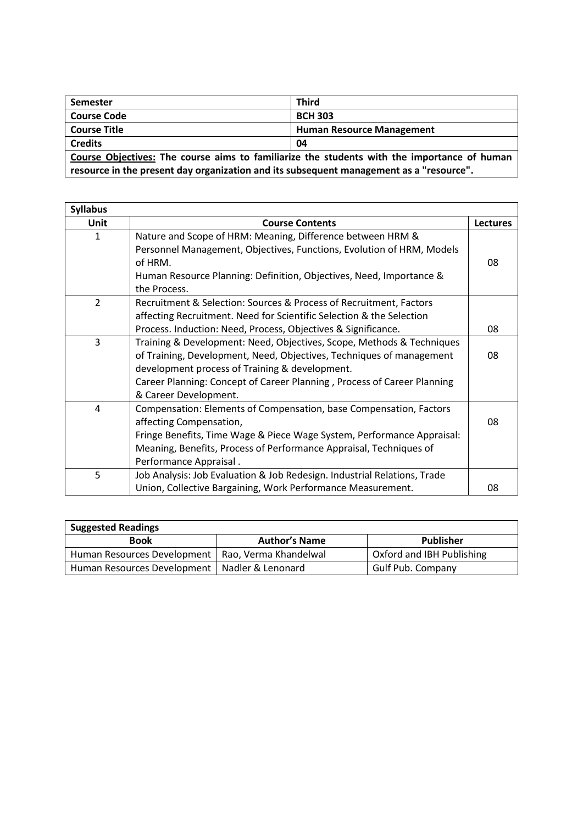| <b>Semester</b>                                                                             | <b>Third</b>                     |  |
|---------------------------------------------------------------------------------------------|----------------------------------|--|
| <b>Course Code</b>                                                                          | <b>BCH 303</b>                   |  |
| <b>Course Title</b>                                                                         | <b>Human Resource Management</b> |  |
| <b>Credits</b>                                                                              | 04                               |  |
| Course Objectives: The course aims to familiarize the students with the importance of human |                                  |  |
| resource in the present day organization and its subsequent management as a "resource".     |                                  |  |

| <b>Syllabus</b> |                                                                          |                 |
|-----------------|--------------------------------------------------------------------------|-----------------|
| <b>Unit</b>     | <b>Course Contents</b>                                                   | <b>Lectures</b> |
| 1               | Nature and Scope of HRM: Meaning, Difference between HRM &               |                 |
|                 | Personnel Management, Objectives, Functions, Evolution of HRM, Models    |                 |
|                 | of HRM.                                                                  | 08              |
|                 | Human Resource Planning: Definition, Objectives, Need, Importance &      |                 |
|                 | the Process.                                                             |                 |
| $\overline{2}$  | Recruitment & Selection: Sources & Process of Recruitment, Factors       |                 |
|                 | affecting Recruitment. Need for Scientific Selection & the Selection     |                 |
|                 | Process. Induction: Need, Process, Objectives & Significance.            | 08              |
| 3               | Training & Development: Need, Objectives, Scope, Methods & Techniques    |                 |
|                 | of Training, Development, Need, Objectives, Techniques of management     | 08              |
|                 | development process of Training & development.                           |                 |
|                 | Career Planning: Concept of Career Planning, Process of Career Planning  |                 |
|                 | & Career Development.                                                    |                 |
| $\overline{4}$  | Compensation: Elements of Compensation, base Compensation, Factors       |                 |
|                 | affecting Compensation,                                                  | 08              |
|                 | Fringe Benefits, Time Wage & Piece Wage System, Performance Appraisal:   |                 |
|                 | Meaning, Benefits, Process of Performance Appraisal, Techniques of       |                 |
|                 | Performance Appraisal.                                                   |                 |
| 5               | Job Analysis: Job Evaluation & Job Redesign. Industrial Relations, Trade |                 |
|                 | Union, Collective Bargaining, Work Performance Measurement.              | 08              |

| <b>Suggested Readings</b>                           |                      |                           |
|-----------------------------------------------------|----------------------|---------------------------|
| Book                                                | <b>Author's Name</b> | Publisher                 |
| Human Resources Development   Rao, Verma Khandelwal |                      | Oxford and IBH Publishing |
| Human Resources Development   Nadler & Lenonard     |                      | <b>Gulf Pub. Company</b>  |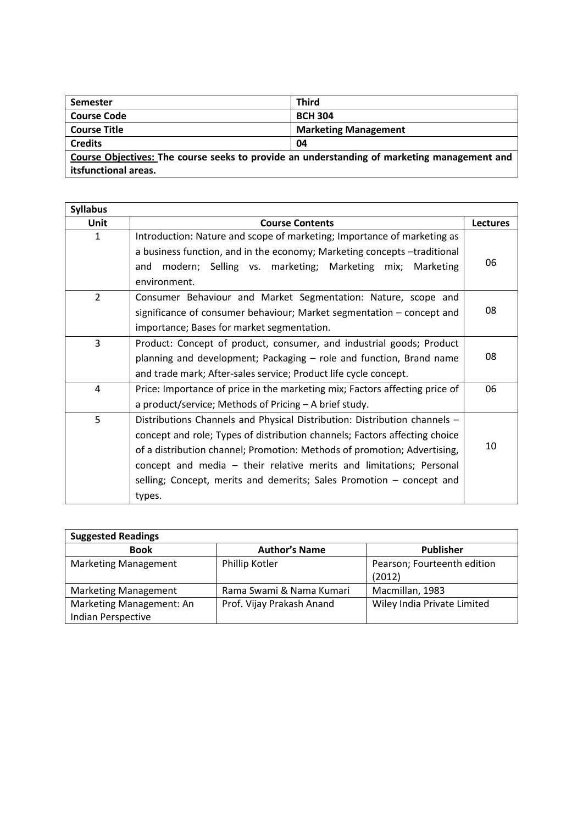| <b>Semester</b>      | <b>Third</b>                                                                                |
|----------------------|---------------------------------------------------------------------------------------------|
| <b>Course Code</b>   | <b>BCH 304</b>                                                                              |
| <b>Course Title</b>  | <b>Marketing Management</b>                                                                 |
| <b>Credits</b>       | 04                                                                                          |
|                      | Course Objectives: The course seeks to provide an understanding of marketing management and |
| itsfunctional areas. |                                                                                             |

| <b>Syllabus</b> |                                                                                   |                 |
|-----------------|-----------------------------------------------------------------------------------|-----------------|
| <b>Unit</b>     | <b>Course Contents</b>                                                            | <b>Lectures</b> |
| 1               | Introduction: Nature and scope of marketing; Importance of marketing as           |                 |
|                 | a business function, and in the economy; Marketing concepts -traditional          |                 |
|                 | modern; Selling vs. marketing; Marketing mix; Marketing<br>and                    | 06              |
|                 | environment.                                                                      |                 |
| $\overline{2}$  | Consumer Behaviour and Market Segmentation: Nature, scope and                     |                 |
|                 | significance of consumer behaviour; Market segmentation – concept and             | 08              |
|                 | importance; Bases for market segmentation.                                        |                 |
| 3               | Product: Concept of product, consumer, and industrial goods; Product              |                 |
|                 | planning and development; Packaging - role and function, Brand name               | 08              |
|                 | and trade mark; After-sales service; Product life cycle concept.                  |                 |
| 4               | Price: Importance of price in the marketing mix; Factors affecting price of<br>06 |                 |
|                 | a product/service; Methods of Pricing - A brief study.                            |                 |
| 5               | Distributions Channels and Physical Distribution: Distribution channels -         |                 |
|                 | concept and role; Types of distribution channels; Factors affecting choice        |                 |
|                 | of a distribution channel; Promotion: Methods of promotion; Advertising,          | 10              |
|                 | concept and media - their relative merits and limitations; Personal               |                 |
|                 | selling; Concept, merits and demerits; Sales Promotion – concept and              |                 |
|                 | types.                                                                            |                 |

| <b>Suggested Readings</b>   |                           |                             |
|-----------------------------|---------------------------|-----------------------------|
| <b>Book</b>                 | <b>Author's Name</b>      | Publisher                   |
| <b>Marketing Management</b> | Phillip Kotler            | Pearson; Fourteenth edition |
|                             |                           | (2012)                      |
| <b>Marketing Management</b> | Rama Swami & Nama Kumari  | Macmillan, 1983             |
| Marketing Management: An    | Prof. Vijay Prakash Anand | Wiley India Private Limited |
| Indian Perspective          |                           |                             |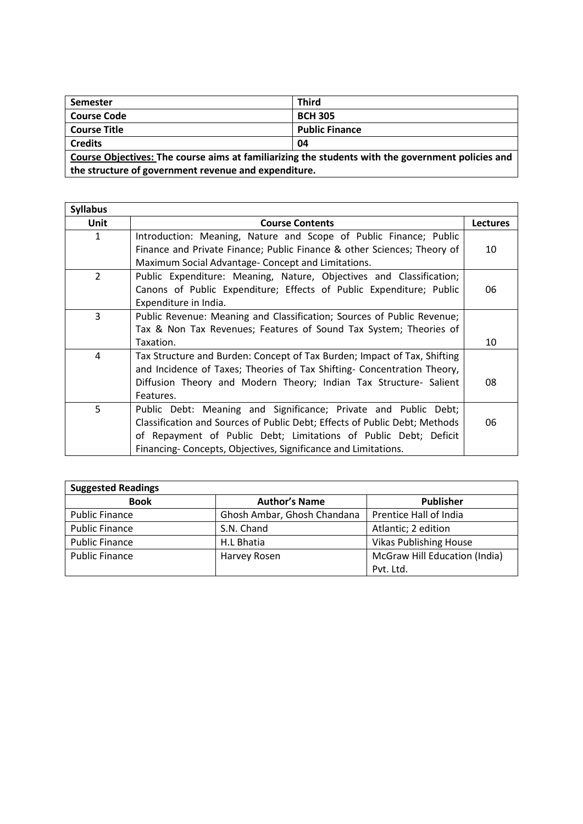| <b>Semester</b>                                                                                   | <b>Third</b>          |  |
|---------------------------------------------------------------------------------------------------|-----------------------|--|
| <b>Course Code</b>                                                                                | <b>BCH 305</b>        |  |
| <b>Course Title</b>                                                                               | <b>Public Finance</b> |  |
| <b>Credits</b>                                                                                    | 04                    |  |
| Course Objectives: The course aims at familiarizing the students with the government policies and |                       |  |
| the structure of government revenue and expenditure.                                              |                       |  |

| <b>Syllabus</b> |                                                                            |                 |
|-----------------|----------------------------------------------------------------------------|-----------------|
| <b>Unit</b>     | <b>Course Contents</b>                                                     | <b>Lectures</b> |
| 1               | Introduction: Meaning, Nature and Scope of Public Finance; Public          |                 |
|                 | Finance and Private Finance; Public Finance & other Sciences; Theory of    | 10              |
|                 | Maximum Social Advantage- Concept and Limitations.                         |                 |
| $\overline{2}$  | Public Expenditure: Meaning, Nature, Objectives and Classification;        |                 |
|                 | Canons of Public Expenditure; Effects of Public Expenditure; Public        | 06              |
|                 | Expenditure in India.                                                      |                 |
| 3               | Public Revenue: Meaning and Classification; Sources of Public Revenue;     |                 |
|                 | Tax & Non Tax Revenues; Features of Sound Tax System; Theories of          |                 |
|                 | Taxation.                                                                  | 10              |
| $\overline{4}$  | Tax Structure and Burden: Concept of Tax Burden; Impact of Tax, Shifting   |                 |
|                 | and Incidence of Taxes; Theories of Tax Shifting- Concentration Theory,    |                 |
|                 | Diffusion Theory and Modern Theory; Indian Tax Structure- Salient          | 08              |
|                 | Features.                                                                  |                 |
| 5               | Public Debt: Meaning and Significance; Private and Public Debt;            |                 |
|                 | Classification and Sources of Public Debt; Effects of Public Debt; Methods | 06              |
|                 | of Repayment of Public Debt; Limitations of Public Debt; Deficit           |                 |
|                 | Financing-Concepts, Objectives, Significance and Limitations.              |                 |

| <b>Suggested Readings</b> |                             |                               |
|---------------------------|-----------------------------|-------------------------------|
| <b>Book</b>               | <b>Author's Name</b>        | <b>Publisher</b>              |
| Public Finance            | Ghosh Ambar, Ghosh Chandana | Prentice Hall of India        |
| <b>Public Finance</b>     | S.N. Chand                  | Atlantic; 2 edition           |
| <b>Public Finance</b>     | H.L Bhatia                  | <b>Vikas Publishing House</b> |
| <b>Public Finance</b>     | Harvey Rosen                | McGraw Hill Education (India) |
|                           |                             | Pvt. Ltd.                     |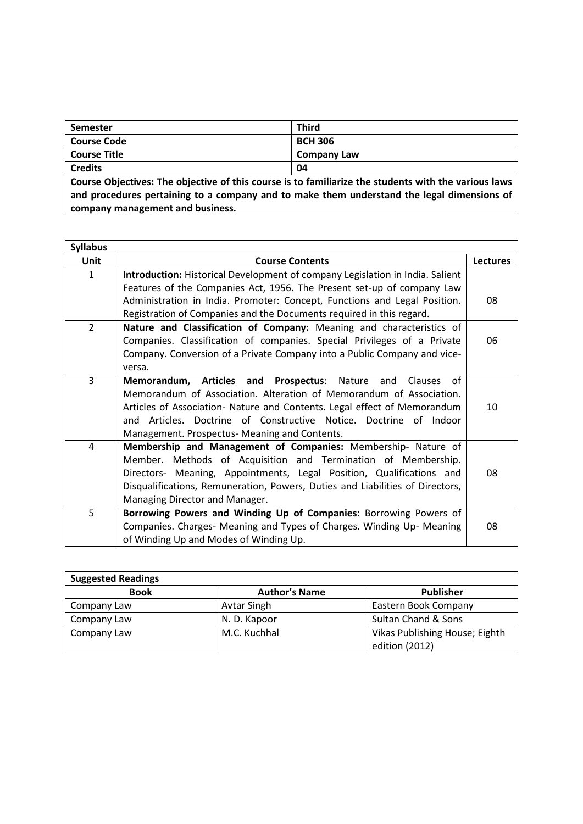| Semester                                                                                                         | <b>Third</b>       |  |
|------------------------------------------------------------------------------------------------------------------|--------------------|--|
| Course Code                                                                                                      | <b>BCH 306</b>     |  |
| Course Title                                                                                                     | <b>Company Law</b> |  |
| <b>Credits</b>                                                                                                   | 04                 |  |
| $\mathsf L$ Course Objectives: The objective of this seures is to familiarize the students with the various laws |                    |  |

**Course Objectives: The objective of this course is to familiarize the students with the various laws and procedures pertaining to a company and to make them understand the legal dimensions of company management and business.**

| <b>Syllabus</b> |                                                                               |                 |
|-----------------|-------------------------------------------------------------------------------|-----------------|
| <b>Unit</b>     | <b>Course Contents</b>                                                        | <b>Lectures</b> |
| $\mathbf{1}$    | Introduction: Historical Development of company Legislation in India. Salient |                 |
|                 | Features of the Companies Act, 1956. The Present set-up of company Law        |                 |
|                 | Administration in India. Promoter: Concept, Functions and Legal Position.     | 08              |
|                 | Registration of Companies and the Documents required in this regard.          |                 |
| $\overline{2}$  | Nature and Classification of Company: Meaning and characteristics of          |                 |
|                 | Companies. Classification of companies. Special Privileges of a Private       | 06              |
|                 | Company. Conversion of a Private Company into a Public Company and vice-      |                 |
|                 | versa.                                                                        |                 |
| 3               | Prospectus: Nature<br>Memorandum, Articles and<br>of<br>and<br><b>Clauses</b> |                 |
|                 | Memorandum of Association. Alteration of Memorandum of Association.           |                 |
|                 | Articles of Association- Nature and Contents. Legal effect of Memorandum      | 10              |
|                 | and Articles. Doctrine of Constructive Notice. Doctrine of Indoor             |                 |
|                 | Management. Prospectus- Meaning and Contents.                                 |                 |
| 4               | Membership and Management of Companies: Membership- Nature of                 |                 |
|                 | Member. Methods of Acquisition and Termination of Membership.                 |                 |
|                 | Directors- Meaning, Appointments, Legal Position, Qualifications and          | 08              |
|                 | Disqualifications, Remuneration, Powers, Duties and Liabilities of Directors, |                 |
|                 | Managing Director and Manager.                                                |                 |
| 5               | Borrowing Powers and Winding Up of Companies: Borrowing Powers of             |                 |
|                 | Companies. Charges- Meaning and Types of Charges. Winding Up- Meaning         | 08              |
|                 | of Winding Up and Modes of Winding Up.                                        |                 |

| <b>Suggested Readings</b> |                      |                                |  |
|---------------------------|----------------------|--------------------------------|--|
| <b>Book</b>               | <b>Author's Name</b> | <b>Publisher</b>               |  |
| Company Law               | Avtar Singh          | Eastern Book Company           |  |
| Company Law               | N. D. Kapoor         | Sultan Chand & Sons            |  |
| Company Law               | M.C. Kuchhal         | Vikas Publishing House; Eighth |  |
|                           |                      | edition (2012)                 |  |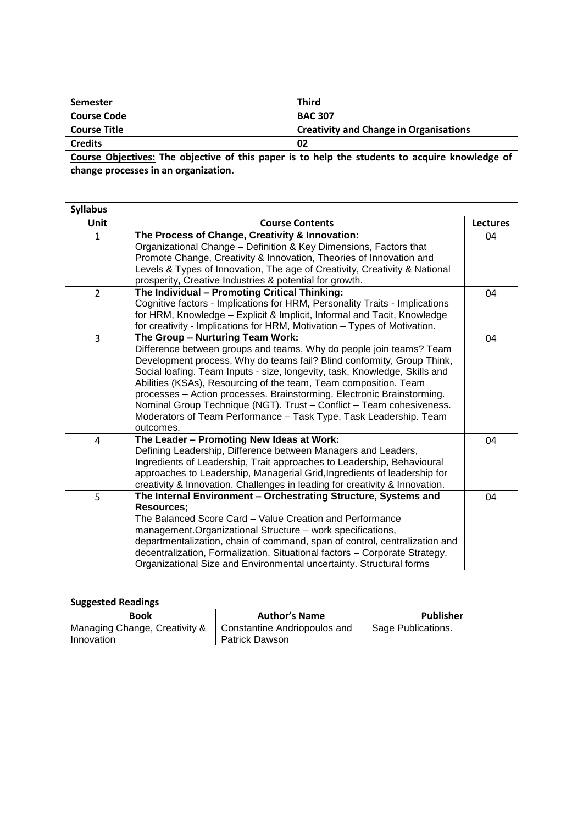| <b>Semester</b>                      | <b>Third</b>                                                                                   |
|--------------------------------------|------------------------------------------------------------------------------------------------|
| <b>Course Code</b>                   | <b>BAC 307</b>                                                                                 |
| <b>Course Title</b>                  | <b>Creativity and Change in Organisations</b>                                                  |
| <b>Credits</b>                       | 02                                                                                             |
|                                      | Course Objectives: The objective of this paper is to help the students to acquire knowledge of |
| change processes in an organization. |                                                                                                |

| <b>Syllabus</b> |                                                                                                                                                                                                                                                                                                                                                                                                                                                                                                                                                                         |                 |
|-----------------|-------------------------------------------------------------------------------------------------------------------------------------------------------------------------------------------------------------------------------------------------------------------------------------------------------------------------------------------------------------------------------------------------------------------------------------------------------------------------------------------------------------------------------------------------------------------------|-----------------|
| Unit            | <b>Course Contents</b>                                                                                                                                                                                                                                                                                                                                                                                                                                                                                                                                                  | <b>Lectures</b> |
| $\mathbf{1}$    | The Process of Change, Creativity & Innovation:<br>Organizational Change - Definition & Key Dimensions, Factors that<br>Promote Change, Creativity & Innovation, Theories of Innovation and<br>Levels & Types of Innovation, The age of Creativity, Creativity & National<br>prosperity, Creative Industries & potential for growth.                                                                                                                                                                                                                                    | 04              |
| $\overline{2}$  | The Individual - Promoting Critical Thinking:<br>Cognitive factors - Implications for HRM, Personality Traits - Implications<br>for HRM, Knowledge - Explicit & Implicit, Informal and Tacit, Knowledge<br>for creativity - Implications for HRM, Motivation - Types of Motivation.                                                                                                                                                                                                                                                                                     | 04              |
| 3               | The Group - Nurturing Team Work:<br>Difference between groups and teams, Why do people join teams? Team<br>Development process, Why do teams fail? Blind conformity, Group Think,<br>Social loafing. Team Inputs - size, longevity, task, Knowledge, Skills and<br>Abilities (KSAs), Resourcing of the team, Team composition. Team<br>processes - Action processes. Brainstorming. Electronic Brainstorming.<br>Nominal Group Technique (NGT). Trust - Conflict - Team cohesiveness.<br>Moderators of Team Performance - Task Type, Task Leadership. Team<br>outcomes. | 04              |
| 4               | The Leader - Promoting New Ideas at Work:<br>Defining Leadership, Difference between Managers and Leaders,<br>Ingredients of Leadership, Trait approaches to Leadership, Behavioural<br>approaches to Leadership, Managerial Grid, Ingredients of leadership for<br>creativity & Innovation. Challenges in leading for creativity & Innovation.                                                                                                                                                                                                                         | 04              |
| 5               | The Internal Environment - Orchestrating Structure, Systems and<br><b>Resources:</b><br>The Balanced Score Card - Value Creation and Performance<br>management. Organizational Structure - work specifications,<br>departmentalization, chain of command, span of control, centralization and<br>decentralization, Formalization. Situational factors - Corporate Strategy,<br>Organizational Size and Environmental uncertainty. Structural forms                                                                                                                      | 04              |

| <b>Suggested Readings</b>                   |                                                             |                    |
|---------------------------------------------|-------------------------------------------------------------|--------------------|
| Book                                        | <b>Author's Name</b>                                        | Publisher          |
| Managing Change, Creativity &<br>Innovation | <sup>1</sup> Constantine Andriopoulos and<br>Patrick Dawson | Sage Publications. |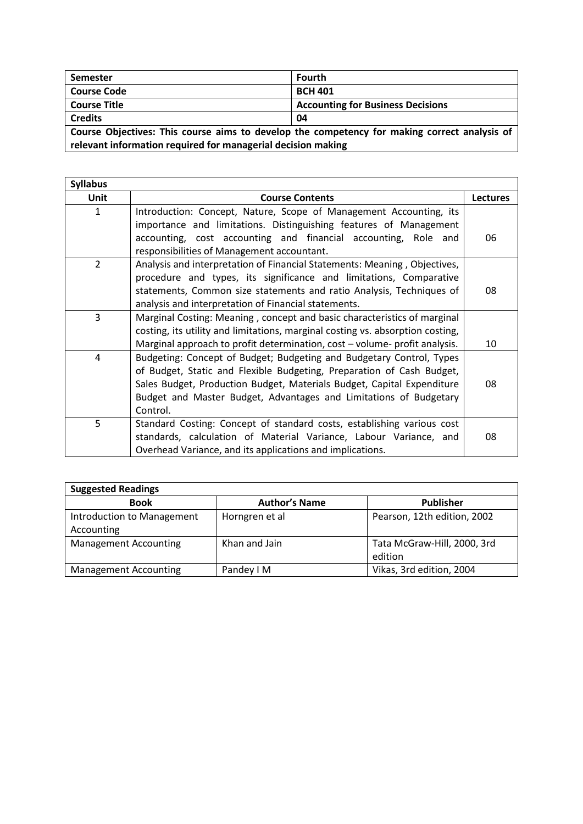| <b>Semester</b>                                                                                                                                              | Fourth                                   |
|--------------------------------------------------------------------------------------------------------------------------------------------------------------|------------------------------------------|
| <b>Course Code</b>                                                                                                                                           | <b>BCH 401</b>                           |
| <b>Course Title</b>                                                                                                                                          | <b>Accounting for Business Decisions</b> |
| <b>Credits</b><br>04                                                                                                                                         |                                          |
| Course Objectives: This course aims to develop the competency for making correct analysis of<br>relevant information required for managerial decision making |                                          |

| <b>Syllabus</b> |                                                                                |                 |
|-----------------|--------------------------------------------------------------------------------|-----------------|
| <b>Unit</b>     | <b>Course Contents</b>                                                         | <b>Lectures</b> |
| 1               | Introduction: Concept, Nature, Scope of Management Accounting, its             |                 |
|                 | importance and limitations. Distinguishing features of Management              |                 |
|                 | accounting, cost accounting and financial accounting, Role and                 | 06              |
|                 | responsibilities of Management accountant.                                     |                 |
| $\overline{2}$  | Analysis and interpretation of Financial Statements: Meaning, Objectives,      |                 |
|                 | procedure and types, its significance and limitations, Comparative             |                 |
|                 | statements, Common size statements and ratio Analysis, Techniques of           | 08              |
|                 | analysis and interpretation of Financial statements.                           |                 |
| 3               | Marginal Costing: Meaning, concept and basic characteristics of marginal       |                 |
|                 | costing, its utility and limitations, marginal costing vs. absorption costing, |                 |
|                 | Marginal approach to profit determination, cost - volume- profit analysis.     | 10              |
| 4               | Budgeting: Concept of Budget; Budgeting and Budgetary Control, Types           |                 |
|                 | of Budget, Static and Flexible Budgeting, Preparation of Cash Budget,          |                 |
|                 | Sales Budget, Production Budget, Materials Budget, Capital Expenditure         | 08              |
|                 | Budget and Master Budget, Advantages and Limitations of Budgetary              |                 |
|                 | Control.                                                                       |                 |
| 5               | Standard Costing: Concept of standard costs, establishing various cost         |                 |
|                 | standards, calculation of Material Variance, Labour Variance, and              | 08              |
|                 | Overhead Variance, and its applications and implications.                      |                 |

| <b>Suggested Readings</b>                |                      |                                        |
|------------------------------------------|----------------------|----------------------------------------|
| <b>Book</b>                              | <b>Author's Name</b> | <b>Publisher</b>                       |
| Introduction to Management<br>Accounting | Horngren et al       | Pearson, 12th edition, 2002            |
| <b>Management Accounting</b>             | Khan and Jain        | Tata McGraw-Hill, 2000, 3rd<br>edition |
| <b>Management Accounting</b>             | Pandey I M           | Vikas, 3rd edition, 2004               |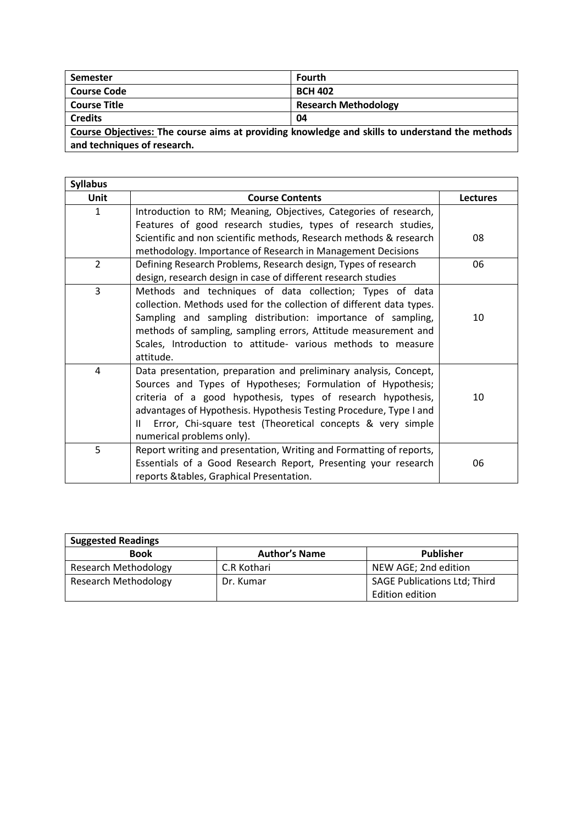| <b>Semester</b>                                                                                | Fourth                      |  |
|------------------------------------------------------------------------------------------------|-----------------------------|--|
| <b>Course Code</b>                                                                             | <b>BCH 402</b>              |  |
| <b>Course Title</b>                                                                            | <b>Research Methodology</b> |  |
| <b>Credits</b>                                                                                 | 04                          |  |
| Course Objectives: The course aims at providing knowledge and skills to understand the methods |                             |  |
| and techniques of research.                                                                    |                             |  |

**Syllabus Unit Course Contents Lectures** 1 | Introduction to RM; Meaning, Objectives, Categories of research, Features of good research studies, types of research studies, Scientific and non scientific methods, Research methods & research methodology. Importance of Research in Management Decisions 08 2 Defining Research Problems, Research design, Types of research design, research design in case of different research studies 06 3 Methods and techniques of data collection; Types of data collection. Methods used for the collection of different data types. Sampling and sampling distribution: importance of sampling, methods of sampling, sampling errors, Attitude measurement and Scales, Introduction to attitude- various methods to measure attitude. 10 4 Data presentation, preparation and preliminary analysis, Concept, Sources and Types of Hypotheses; Formulation of Hypothesis; criteria of a good hypothesis, types of research hypothesis, advantages of Hypothesis. Hypothesis Testing Procedure, Type I and II Error, Chi-square test (Theoretical concepts & very simple numerical problems only). 10 5 Report writing and presentation, Writing and Formatting of reports, Essentials of a Good Research Report, Presenting your research reports &tables, Graphical Presentation. 06

| <b>Suggested Readings</b>   |                      |                                     |
|-----------------------------|----------------------|-------------------------------------|
| <b>Book</b>                 | <b>Author's Name</b> | Publisher                           |
| <b>Research Methodology</b> | C.R Kothari          | NEW AGE; 2nd edition                |
| <b>Research Methodology</b> | Dr. Kumar            | <b>SAGE Publications Ltd; Third</b> |
|                             |                      | Edition edition                     |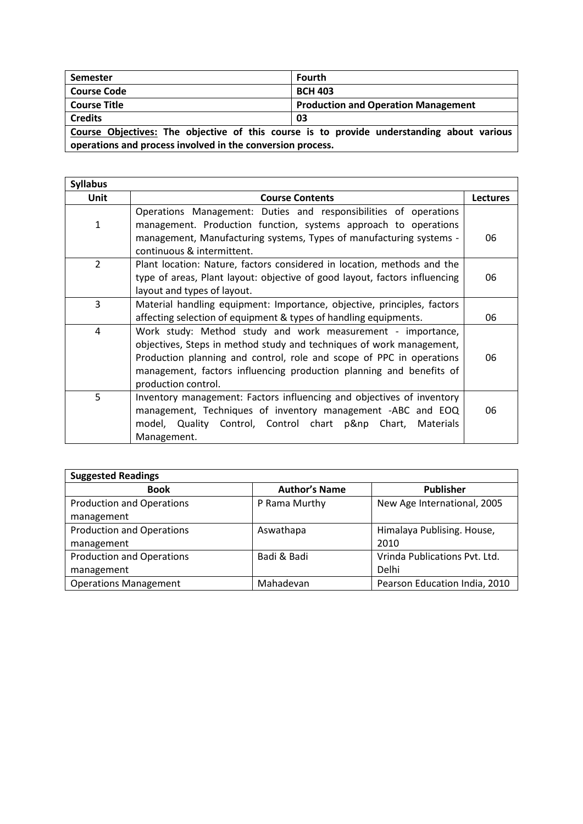| Semester                                                                                                                                                | <b>Fourth</b>                              |  |
|---------------------------------------------------------------------------------------------------------------------------------------------------------|--------------------------------------------|--|
| <b>Course Code</b>                                                                                                                                      | <b>BCH 403</b>                             |  |
| <b>Course Title</b>                                                                                                                                     | <b>Production and Operation Management</b> |  |
| <b>Credits</b>                                                                                                                                          | 03                                         |  |
| Course Objectives: The objective of this course is to provide understanding about various<br>operations and process involved in the conversion process. |                                            |  |

| <b>Syllabus</b> |                                                                            |                 |  |
|-----------------|----------------------------------------------------------------------------|-----------------|--|
| Unit            | <b>Course Contents</b>                                                     | <b>Lectures</b> |  |
|                 | Operations Management: Duties and responsibilities of operations           |                 |  |
| 1               | management. Production function, systems approach to operations            |                 |  |
|                 | management, Manufacturing systems, Types of manufacturing systems -        | 06              |  |
|                 | continuous & intermittent.                                                 |                 |  |
| $\overline{2}$  | Plant location: Nature, factors considered in location, methods and the    |                 |  |
|                 | type of areas, Plant layout: objective of good layout, factors influencing | 06              |  |
|                 | layout and types of layout.                                                |                 |  |
| 3               | Material handling equipment: Importance, objective, principles, factors    |                 |  |
|                 | affecting selection of equipment & types of handling equipments.           | 06              |  |
| 4               | Work study: Method study and work measurement - importance,                |                 |  |
|                 | objectives, Steps in method study and techniques of work management,       |                 |  |
|                 | Production planning and control, role and scope of PPC in operations       | 06              |  |
|                 | management, factors influencing production planning and benefits of        |                 |  |
|                 | production control.                                                        |                 |  |
| 5               | Inventory management: Factors influencing and objectives of inventory      |                 |  |
|                 | management, Techniques of inventory management -ABC and EOQ                | 06              |  |
|                 | model, Quality Control, Control chart p&np Chart,<br><b>Materials</b>      |                 |  |
|                 | Management.                                                                |                 |  |

| <b>Suggested Readings</b>        |                      |                               |
|----------------------------------|----------------------|-------------------------------|
| <b>Book</b>                      | <b>Author's Name</b> | <b>Publisher</b>              |
| <b>Production and Operations</b> | P Rama Murthy        | New Age International, 2005   |
| management                       |                      |                               |
| <b>Production and Operations</b> | Aswathapa            | Himalaya Publising. House,    |
| management                       |                      | 2010                          |
| <b>Production and Operations</b> | Badi & Badi          | Vrinda Publications Pvt. Ltd. |
| management                       |                      | Delhi                         |
| <b>Operations Management</b>     | Mahadevan            | Pearson Education India, 2010 |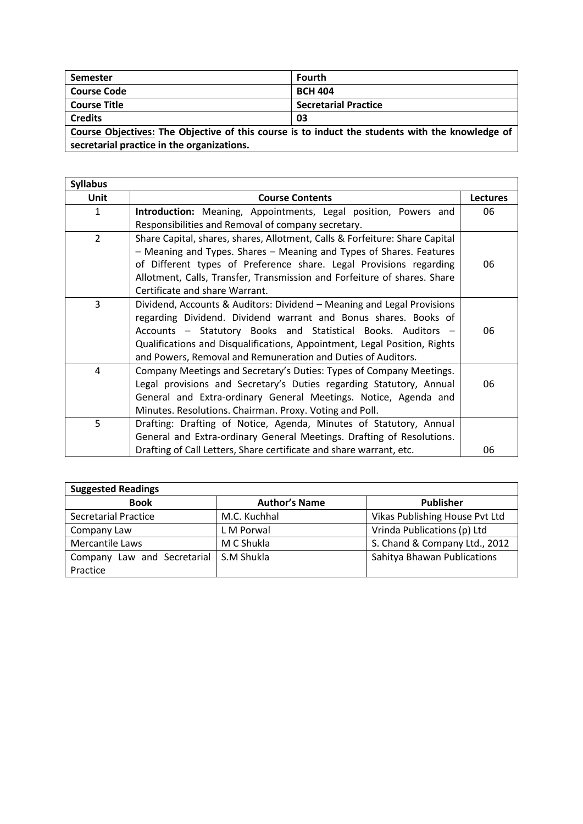| <b>Semester</b>                                                                                 | <b>Fourth</b>               |
|-------------------------------------------------------------------------------------------------|-----------------------------|
| <b>Course Code</b>                                                                              | <b>BCH 404</b>              |
| <b>Course Title</b>                                                                             | <b>Secretarial Practice</b> |
| <b>Credits</b>                                                                                  | 03                          |
| Course Objectives: The Objective of this course is to induct the students with the knowledge of |                             |

**secretarial practice in the organizations.** the contract of the contract of the contract of the contract of the contract of

| <b>Syllabus</b> |                                                                             |          |
|-----------------|-----------------------------------------------------------------------------|----------|
| Unit            | <b>Course Contents</b>                                                      | Lectures |
| 1               | Introduction: Meaning, Appointments, Legal position, Powers and             | 06       |
|                 | Responsibilities and Removal of company secretary.                          |          |
| $\overline{2}$  | Share Capital, shares, shares, Allotment, Calls & Forfeiture: Share Capital |          |
|                 | - Meaning and Types. Shares - Meaning and Types of Shares. Features         |          |
|                 | of Different types of Preference share. Legal Provisions regarding          | 06       |
|                 | Allotment, Calls, Transfer, Transmission and Forfeiture of shares. Share    |          |
|                 | Certificate and share Warrant.                                              |          |
| $\overline{3}$  | Dividend, Accounts & Auditors: Dividend - Meaning and Legal Provisions      |          |
|                 | regarding Dividend. Dividend warrant and Bonus shares. Books of             |          |
|                 | Accounts - Statutory Books and Statistical Books. Auditors -                | 06       |
|                 | Qualifications and Disqualifications, Appointment, Legal Position, Rights   |          |
|                 | and Powers, Removal and Remuneration and Duties of Auditors.                |          |
| 4               | Company Meetings and Secretary's Duties: Types of Company Meetings.         |          |
|                 | Legal provisions and Secretary's Duties regarding Statutory, Annual         | 06       |
|                 | General and Extra-ordinary General Meetings. Notice, Agenda and             |          |
|                 | Minutes. Resolutions. Chairman. Proxy. Voting and Poll.                     |          |
| 5               | Drafting: Drafting of Notice, Agenda, Minutes of Statutory, Annual          |          |
|                 | General and Extra-ordinary General Meetings. Drafting of Resolutions.       |          |
|                 | Drafting of Call Letters, Share certificate and share warrant, etc.         | 06       |

| <b>Suggested Readings</b>                |                      |                                |
|------------------------------------------|----------------------|--------------------------------|
| <b>Book</b>                              | <b>Author's Name</b> | <b>Publisher</b>               |
| Secretarial Practice                     | M.C. Kuchhal         | Vikas Publishing House Pvt Ltd |
| Company Law                              | L M Porwal           | Vrinda Publications (p) Ltd    |
| Mercantile Laws                          | M C Shukla           | S. Chand & Company Ltd., 2012  |
| Company Law and Secretarial   S.M Shukla |                      | Sahitya Bhawan Publications    |
| Practice                                 |                      |                                |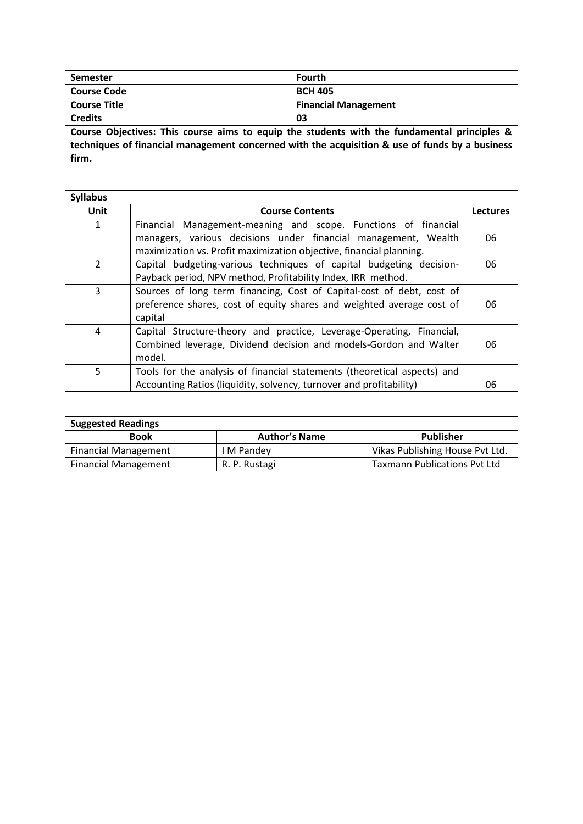| Semester                                                                                         | <b>Fourth</b>               |  |
|--------------------------------------------------------------------------------------------------|-----------------------------|--|
| <b>Course Code</b>                                                                               | <b>BCH 405</b>              |  |
| <sup>1</sup> Course Title                                                                        | <b>Financial Management</b> |  |
| Credits<br>03                                                                                    |                             |  |
| $\,$ Course Objectives: This course aims to equin the students with the fundamental principles & |                             |  |

**Course Objectives: This course aims to equip the students with the fundamental principles & techniques of financial management concerned with the acquisition & use of funds by a business firm.**

| <b>Syllabus</b> |                                                                                                                                                                                                         |                 |
|-----------------|---------------------------------------------------------------------------------------------------------------------------------------------------------------------------------------------------------|-----------------|
| Unit            | <b>Course Contents</b>                                                                                                                                                                                  | <b>Lectures</b> |
| 1               | Financial Management-meaning and scope. Functions of financial<br>managers, various decisions under financial management, Wealth<br>maximization vs. Profit maximization objective, financial planning. | 06              |
| $\overline{2}$  | Capital budgeting-various techniques of capital budgeting decision-<br>Payback period, NPV method, Profitability Index, IRR method.                                                                     | 06              |
| 3               | Sources of long term financing, Cost of Capital-cost of debt, cost of<br>preference shares, cost of equity shares and weighted average cost of<br>capital                                               | 06              |
| 4               | Capital Structure-theory and practice, Leverage-Operating, Financial,<br>Combined leverage, Dividend decision and models-Gordon and Walter<br>model.                                                    | 06              |
| 5               | Tools for the analysis of financial statements (theoretical aspects) and<br>Accounting Ratios (liquidity, solvency, turnover and profitability)                                                         | 06              |

| <b>Suggested Readings</b>   |                      |                                     |  |
|-----------------------------|----------------------|-------------------------------------|--|
| <b>Book</b>                 | <b>Author's Name</b> | <b>Publisher</b>                    |  |
| <b>Financial Management</b> | I M Pandey           | Vikas Publishing House Pvt Ltd.     |  |
| <b>Financial Management</b> | R. P. Rustagi        | <b>Taxmann Publications Pvt Ltd</b> |  |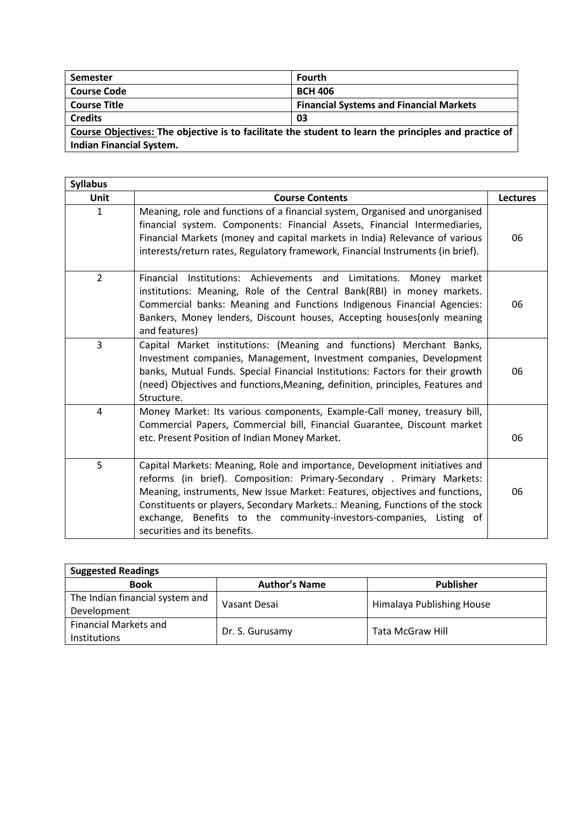| Semester                                                                                              | <b>Fourth</b>                                  |  |
|-------------------------------------------------------------------------------------------------------|------------------------------------------------|--|
| <b>Course Code</b>                                                                                    | <b>BCH 406</b>                                 |  |
| <b>Course Title</b>                                                                                   | <b>Financial Systems and Financial Markets</b> |  |
| <b>Credits</b>                                                                                        | -03                                            |  |
| Course Objectives: The objective is to facilitate the student to learn the principles and practice of |                                                |  |
| <b>Indian Financial System.</b>                                                                       |                                                |  |

| <b>Syllabus</b> |                                                                                                                                                                                                                                                                                                                                                                                                                           |                 |
|-----------------|---------------------------------------------------------------------------------------------------------------------------------------------------------------------------------------------------------------------------------------------------------------------------------------------------------------------------------------------------------------------------------------------------------------------------|-----------------|
| Unit            | <b>Course Contents</b>                                                                                                                                                                                                                                                                                                                                                                                                    | <b>Lectures</b> |
| 1               | Meaning, role and functions of a financial system, Organised and unorganised<br>financial system. Components: Financial Assets, Financial Intermediaries,<br>Financial Markets (money and capital markets in India) Relevance of various<br>interests/return rates, Regulatory framework, Financial Instruments (in brief).                                                                                               | 06              |
| $\overline{2}$  | Financial Institutions: Achievements and Limitations. Money market<br>institutions: Meaning, Role of the Central Bank(RBI) in money markets.<br>Commercial banks: Meaning and Functions Indigenous Financial Agencies:<br>Bankers, Money lenders, Discount houses, Accepting houses(only meaning<br>and features)                                                                                                         | 06              |
| $\overline{3}$  | Capital Market institutions: (Meaning and functions) Merchant Banks,<br>Investment companies, Management, Investment companies, Development<br>banks, Mutual Funds. Special Financial Institutions: Factors for their growth<br>(need) Objectives and functions, Meaning, definition, principles, Features and<br>Structure.                                                                                              | 06              |
| 4               | Money Market: Its various components, Example-Call money, treasury bill,<br>Commercial Papers, Commercial bill, Financial Guarantee, Discount market<br>etc. Present Position of Indian Money Market.                                                                                                                                                                                                                     | 06              |
| 5               | Capital Markets: Meaning, Role and importance, Development initiatives and<br>reforms (in brief). Composition: Primary-Secondary . Primary Markets:<br>Meaning, instruments, New Issue Market: Features, objectives and functions,<br>Constituents or players, Secondary Markets.: Meaning, Functions of the stock<br>exchange, Benefits to the community-investors-companies, Listing of<br>securities and its benefits. | 06              |

| <b>Suggested Readings</b>                      |                      |                           |  |
|------------------------------------------------|----------------------|---------------------------|--|
| <b>Book</b>                                    | <b>Author's Name</b> | <b>Publisher</b>          |  |
| The Indian financial system and<br>Development | Vasant Desai         | Himalaya Publishing House |  |
| Financial Markets and<br><b>Institutions</b>   | Dr. S. Gurusamy      | Tata McGraw Hill          |  |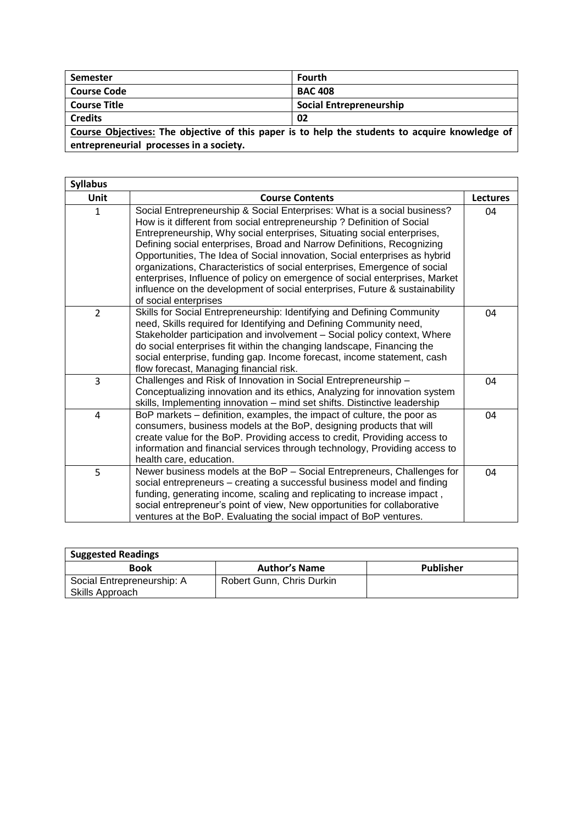| Semester                                                                                       | Fourth                  |  |
|------------------------------------------------------------------------------------------------|-------------------------|--|
| <b>Course Code</b>                                                                             | <b>BAC 408</b>          |  |
| <b>Course Title</b>                                                                            | Social Entrepreneurship |  |
| <b>Credits</b>                                                                                 | 02                      |  |
| Course Objectives: The objective of this paper is to help the students to acquire knowledge of |                         |  |
| entrepreneurial processes in a society.                                                        |                         |  |

 $\overline{1}$ 

| <b>Syllabus</b> |                                                                                                                                                                                                                                                                                                                                                                                                                                                                                                                                                                                                                                                           |                 |
|-----------------|-----------------------------------------------------------------------------------------------------------------------------------------------------------------------------------------------------------------------------------------------------------------------------------------------------------------------------------------------------------------------------------------------------------------------------------------------------------------------------------------------------------------------------------------------------------------------------------------------------------------------------------------------------------|-----------------|
| Unit            | <b>Course Contents</b>                                                                                                                                                                                                                                                                                                                                                                                                                                                                                                                                                                                                                                    | <b>Lectures</b> |
| $\mathbf{1}$    | Social Entrepreneurship & Social Enterprises: What is a social business?<br>How is it different from social entrepreneurship? Definition of Social<br>Entrepreneurship, Why social enterprises, Situating social enterprises,<br>Defining social enterprises, Broad and Narrow Definitions, Recognizing<br>Opportunities, The Idea of Social innovation, Social enterprises as hybrid<br>organizations, Characteristics of social enterprises, Emergence of social<br>enterprises, Influence of policy on emergence of social enterprises, Market<br>influence on the development of social enterprises, Future & sustainability<br>of social enterprises | 04              |
| $\overline{2}$  | Skills for Social Entrepreneurship: Identifying and Defining Community<br>need, Skills required for Identifying and Defining Community need,<br>Stakeholder participation and involvement - Social policy context, Where<br>do social enterprises fit within the changing landscape, Financing the<br>social enterprise, funding gap. Income forecast, income statement, cash<br>flow forecast, Managing financial risk.                                                                                                                                                                                                                                  | 04              |
| 3               | Challenges and Risk of Innovation in Social Entrepreneurship -<br>Conceptualizing innovation and its ethics, Analyzing for innovation system<br>skills, Implementing innovation - mind set shifts. Distinctive leadership                                                                                                                                                                                                                                                                                                                                                                                                                                 | 04              |
| 4               | BoP markets – definition, examples, the impact of culture, the poor as<br>consumers, business models at the BoP, designing products that will<br>create value for the BoP. Providing access to credit, Providing access to<br>information and financial services through technology, Providing access to<br>health care, education.                                                                                                                                                                                                                                                                                                                       | 04              |
| 5               | Newer business models at the BoP - Social Entrepreneurs, Challenges for<br>social entrepreneurs - creating a successful business model and finding<br>funding, generating income, scaling and replicating to increase impact,<br>social entrepreneur's point of view, New opportunities for collaborative<br>ventures at the BoP. Evaluating the social impact of BoP ventures.                                                                                                                                                                                                                                                                           | 04              |

| <b>Suggested Readings</b>                     |                           |                  |  |
|-----------------------------------------------|---------------------------|------------------|--|
| <b>Book</b>                                   | <b>Author's Name</b>      | <b>Publisher</b> |  |
| Social Entrepreneurship: A<br>Skills Approach | Robert Gunn, Chris Durkin |                  |  |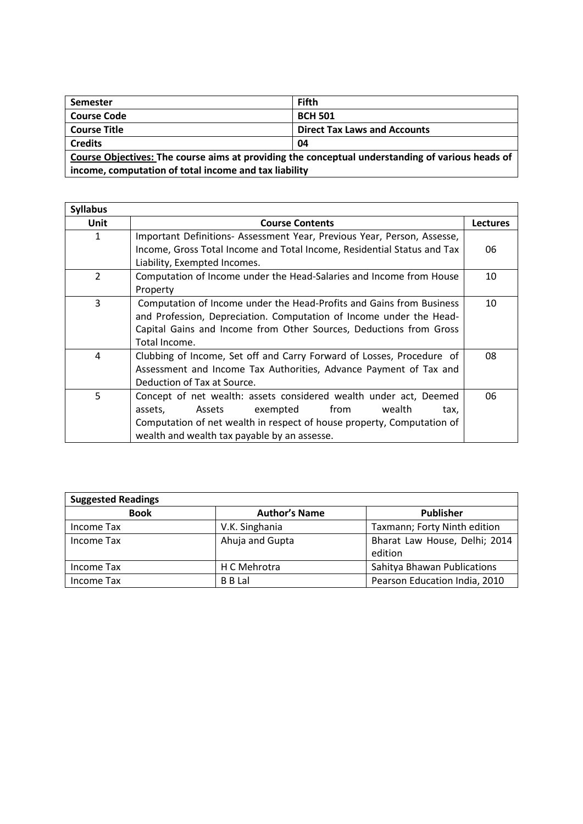| <b>Semester</b>                                                                                  | <b>Fifth</b>                        |  |
|--------------------------------------------------------------------------------------------------|-------------------------------------|--|
| <b>Course Code</b>                                                                               | <b>BCH 501</b>                      |  |
| <b>Course Title</b>                                                                              | <b>Direct Tax Laws and Accounts</b> |  |
| <b>Credits</b>                                                                                   | -04                                 |  |
| Course Objectives: The course aims at providing the conceptual understanding of various heads of |                                     |  |
| income, computation of total income and tax liability                                            |                                     |  |

| <b>Syllabus</b> |                                                                         |                 |
|-----------------|-------------------------------------------------------------------------|-----------------|
| <b>Unit</b>     | <b>Course Contents</b>                                                  | <b>Lectures</b> |
| 1               | Important Definitions- Assessment Year, Previous Year, Person, Assesse, |                 |
|                 | Income, Gross Total Income and Total Income, Residential Status and Tax | 06              |
|                 | Liability, Exempted Incomes.                                            |                 |
| $\overline{2}$  | Computation of Income under the Head-Salaries and Income from House     | 10              |
|                 | Property                                                                |                 |
| 3               | Computation of Income under the Head-Profits and Gains from Business    | 10              |
|                 | and Profession, Depreciation. Computation of Income under the Head-     |                 |
|                 | Capital Gains and Income from Other Sources, Deductions from Gross      |                 |
|                 | Total Income.                                                           |                 |
| 4               | Clubbing of Income, Set off and Carry Forward of Losses, Procedure of   | 08              |
|                 | Assessment and Income Tax Authorities, Advance Payment of Tax and       |                 |
|                 | Deduction of Tax at Source.                                             |                 |
| 5               | Concept of net wealth: assets considered wealth under act, Deemed       | 06              |
|                 | assets,<br>exempted<br>from<br>wealth<br>Assets<br>tax,                 |                 |
|                 | Computation of net wealth in respect of house property, Computation of  |                 |
|                 | wealth and wealth tax payable by an assesse.                            |                 |

| <b>Suggested Readings</b> |                      |                               |  |
|---------------------------|----------------------|-------------------------------|--|
| <b>Book</b>               | <b>Author's Name</b> | <b>Publisher</b>              |  |
| Income Tax                | V.K. Singhania       | Taxmann; Forty Ninth edition  |  |
| Income Tax                | Ahuja and Gupta      | Bharat Law House, Delhi; 2014 |  |
|                           |                      | edition                       |  |
| Income Tax                | H C Mehrotra         | Sahitya Bhawan Publications   |  |
| Income Tax                | <b>B</b> B Lal       | Pearson Education India, 2010 |  |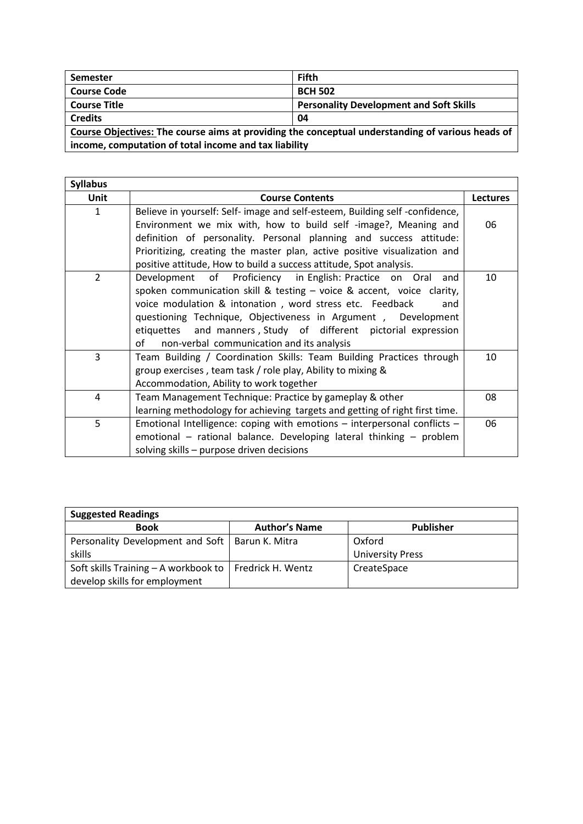| Semester                                                                                                                                                  | <b>Fifth</b>                                   |  |
|-----------------------------------------------------------------------------------------------------------------------------------------------------------|------------------------------------------------|--|
| <b>Course Code</b>                                                                                                                                        | <b>BCH 502</b>                                 |  |
| <b>Course Title</b>                                                                                                                                       | <b>Personality Development and Soft Skills</b> |  |
| <b>Credits</b>                                                                                                                                            | 04                                             |  |
| Course Objectives: The course aims at providing the conceptual understanding of various heads of<br>income, computation of total income and tax liability |                                                |  |

| <b>Syllabus</b> |                                                                                                                                                                                                                                                                                                                                                                                                |                 |
|-----------------|------------------------------------------------------------------------------------------------------------------------------------------------------------------------------------------------------------------------------------------------------------------------------------------------------------------------------------------------------------------------------------------------|-----------------|
| Unit            | <b>Course Contents</b>                                                                                                                                                                                                                                                                                                                                                                         | <b>Lectures</b> |
| 1               | Believe in yourself: Self- image and self-esteem, Building self-confidence,<br>Environment we mix with, how to build self -image?, Meaning and<br>definition of personality. Personal planning and success attitude:<br>Prioritizing, creating the master plan, active positive visualization and<br>positive attitude, How to build a success attitude, Spot analysis.                        | 06              |
| $\overline{2}$  | Development of Proficiency in English: Practice on Oral and<br>spoken communication skill & testing - voice & accent, voice clarity,<br>voice modulation & intonation, word stress etc. Feedback<br>and<br>questioning Technique, Objectiveness in Argument, Development<br>etiquettes and manners, Study of different pictorial expression<br>of<br>non-verbal communication and its analysis | 10              |
| 3               | Team Building / Coordination Skills: Team Building Practices through<br>group exercises, team task / role play, Ability to mixing &<br>Accommodation, Ability to work together                                                                                                                                                                                                                 | 10              |
| 4               | Team Management Technique: Practice by gameplay & other<br>learning methodology for achieving targets and getting of right first time.                                                                                                                                                                                                                                                         | 08              |
| 5               | Emotional Intelligence: coping with emotions - interpersonal conflicts -<br>emotional - rational balance. Developing lateral thinking - problem<br>solving skills - purpose driven decisions                                                                                                                                                                                                   | 06              |

| <b>Suggested Readings</b>                                |                      |                         |
|----------------------------------------------------------|----------------------|-------------------------|
| <b>Book</b>                                              | <b>Author's Name</b> | <b>Publisher</b>        |
| Personality Development and Soft   Barun K. Mitra        |                      | Oxford                  |
| skills                                                   |                      | <b>University Press</b> |
| Soft skills Training - A workbook to   Fredrick H. Wentz |                      | CreateSpace             |
| develop skills for employment                            |                      |                         |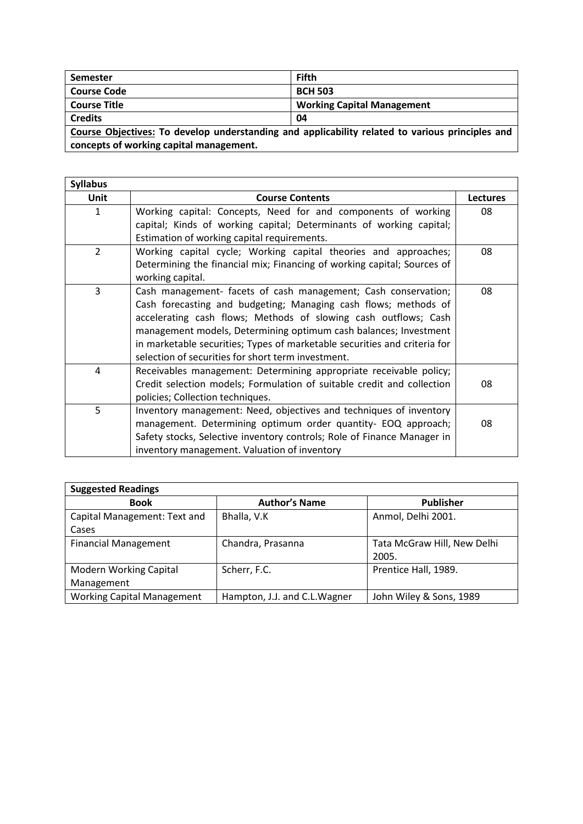| Semester                                                                                        | <b>Fifth</b>                      |  |
|-------------------------------------------------------------------------------------------------|-----------------------------------|--|
| <b>Course Code</b>                                                                              | <b>BCH 503</b>                    |  |
| <b>Course Title</b>                                                                             | <b>Working Capital Management</b> |  |
| <b>Credits</b>                                                                                  | 04                                |  |
| Course Objectives: To develop understanding and applicability related to various principles and |                                   |  |
| concepts of working capital management.                                                         |                                   |  |

**Syllabus Unit Course Contents Lectures** 1 Working capital: Concepts, Need for and components of working capital; Kinds of working capital; Determinants of working capital; Estimation of working capital requirements. 08 2 Working capital cycle; Working capital theories and approaches; Determining the financial mix; Financing of working capital; Sources of working capital. 08 3 Cash management- facets of cash management; Cash conservation; Cash forecasting and budgeting; Managing cash flows; methods of accelerating cash flows; Methods of slowing cash outflows; Cash management models, Determining optimum cash balances; Investment in marketable securities; Types of marketable securities and criteria for selection of securities for short term investment. 08 4 Receivables management: Determining appropriate receivable policy; Credit selection models; Formulation of suitable credit and collection policies; Collection techniques. 08 5 Inventory management: Need, objectives and techniques of inventory management. Determining optimum order quantity- EOQ approach; Safety stocks, Selective inventory controls; Role of Finance Manager in inventory management. Valuation of inventory 08

| <b>Suggested Readings</b>         |                               |                             |  |
|-----------------------------------|-------------------------------|-----------------------------|--|
| <b>Book</b>                       | <b>Author's Name</b>          | <b>Publisher</b>            |  |
| Capital Management: Text and      | Bhalla, V.K                   | Anmol, Delhi 2001.          |  |
| Cases                             |                               |                             |  |
| <b>Financial Management</b>       | Chandra, Prasanna             | Tata McGraw Hill, New Delhi |  |
|                                   |                               | 2005.                       |  |
| <b>Modern Working Capital</b>     | Scherr, F.C.                  | Prentice Hall, 1989.        |  |
| Management                        |                               |                             |  |
| <b>Working Capital Management</b> | Hampton, J.J. and C.L. Wagner | John Wiley & Sons, 1989     |  |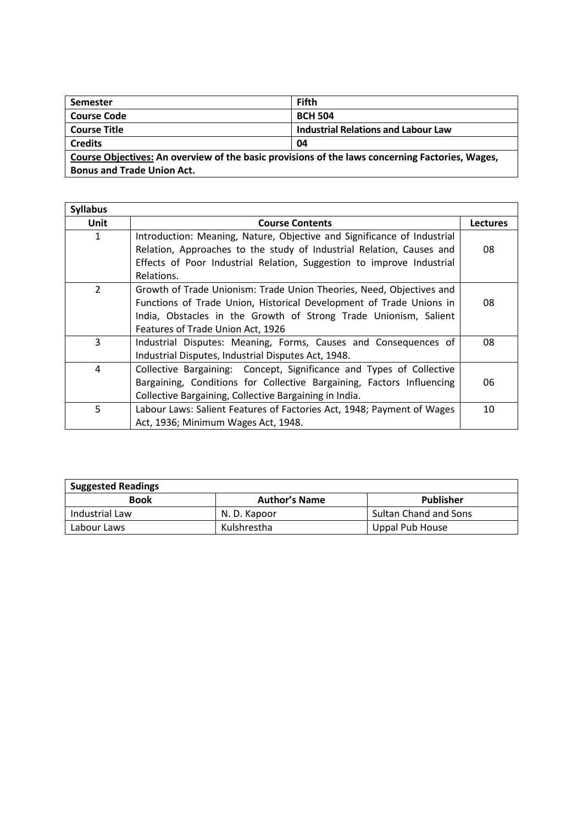| <b>Semester</b>                                                                                 | <b>Fifth</b>                               |  |
|-------------------------------------------------------------------------------------------------|--------------------------------------------|--|
| <b>Course Code</b>                                                                              | <b>BCH 504</b>                             |  |
| <b>Course Title</b>                                                                             | <b>Industrial Relations and Labour Law</b> |  |
| <b>Credits</b>                                                                                  | 04                                         |  |
| Course Objectives: An overview of the basic provisions of the laws concerning Factories, Wages, |                                            |  |
| <b>Bonus and Trade Union Act.</b>                                                               |                                            |  |

| <b>Syllabus</b> |                                                                                                                                                                                                                                                      |                 |
|-----------------|------------------------------------------------------------------------------------------------------------------------------------------------------------------------------------------------------------------------------------------------------|-----------------|
| Unit            | <b>Course Contents</b>                                                                                                                                                                                                                               | <b>Lectures</b> |
| 1               | Introduction: Meaning, Nature, Objective and Significance of Industrial<br>Relation, Approaches to the study of Industrial Relation, Causes and<br>Effects of Poor Industrial Relation, Suggestion to improve Industrial<br>Relations.               | 08              |
| $\mathcal{P}$   | Growth of Trade Unionism: Trade Union Theories, Need, Objectives and<br>Functions of Trade Union, Historical Development of Trade Unions in<br>India, Obstacles in the Growth of Strong Trade Unionism, Salient<br>Features of Trade Union Act, 1926 | 08              |
| 3               | Industrial Disputes: Meaning, Forms, Causes and Consequences of<br>Industrial Disputes, Industrial Disputes Act, 1948.                                                                                                                               | 08              |
| 4               | Collective Bargaining: Concept, Significance and Types of Collective<br>Bargaining, Conditions for Collective Bargaining, Factors Influencing<br>Collective Bargaining, Collective Bargaining in India.                                              | 06              |
| 5               | Labour Laws: Salient Features of Factories Act, 1948; Payment of Wages<br>Act, 1936; Minimum Wages Act, 1948.                                                                                                                                        | 10              |

| <b>Suggested Readings</b> |                      |                              |
|---------------------------|----------------------|------------------------------|
| <b>Book</b>               | <b>Author's Name</b> | Publisher                    |
| Industrial Law            | N. D. Kapoor         | <b>Sultan Chand and Sons</b> |
| Labour Laws               | Kulshrestha          | Uppal Pub House              |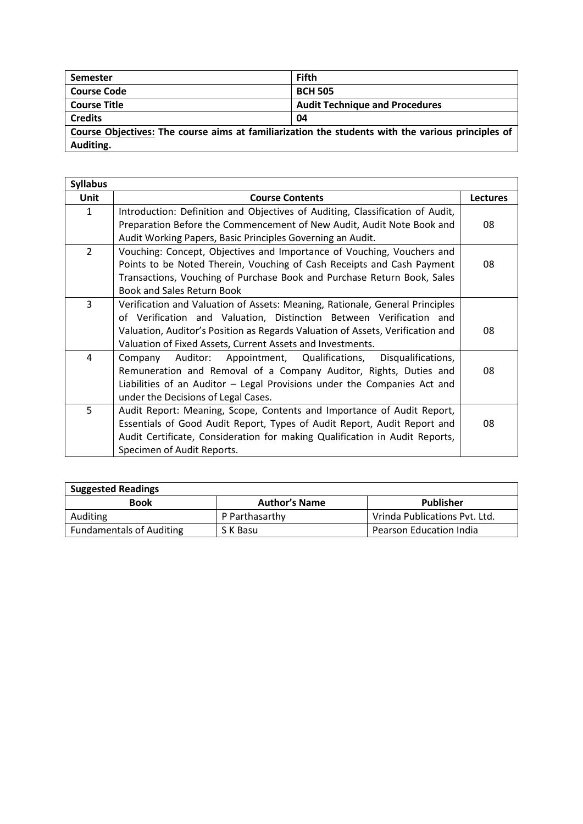| <b>Semester</b>                                                                                   | <b>Fifth</b>                          |  |
|---------------------------------------------------------------------------------------------------|---------------------------------------|--|
| <b>Course Code</b>                                                                                | <b>BCH 505</b>                        |  |
| <b>Course Title</b>                                                                               | <b>Audit Technique and Procedures</b> |  |
| <b>Credits</b>                                                                                    | 04                                    |  |
| Course Objectives: The course aims at familiarization the students with the various principles of |                                       |  |
| Auditing.                                                                                         |                                       |  |

| <b>Syllabus</b> |                                                                                |                 |
|-----------------|--------------------------------------------------------------------------------|-----------------|
| <b>Unit</b>     | <b>Course Contents</b>                                                         | <b>Lectures</b> |
| 1               | Introduction: Definition and Objectives of Auditing, Classification of Audit,  |                 |
|                 | Preparation Before the Commencement of New Audit, Audit Note Book and          | 08              |
|                 | Audit Working Papers, Basic Principles Governing an Audit.                     |                 |
| $\overline{2}$  | Vouching: Concept, Objectives and Importance of Vouching, Vouchers and         |                 |
|                 | Points to be Noted Therein, Vouching of Cash Receipts and Cash Payment         | 08              |
|                 | Transactions, Vouching of Purchase Book and Purchase Return Book, Sales        |                 |
|                 | <b>Book and Sales Return Book</b>                                              |                 |
| 3               | Verification and Valuation of Assets: Meaning, Rationale, General Principles   |                 |
|                 | of Verification and Valuation, Distinction Between Verification and            |                 |
|                 | Valuation, Auditor's Position as Regards Valuation of Assets, Verification and | 08              |
|                 | Valuation of Fixed Assets, Current Assets and Investments.                     |                 |
| 4               | Auditor: Appointment, Qualifications,<br>Disqualifications,<br>Company         |                 |
|                 | Remuneration and Removal of a Company Auditor, Rights, Duties and              | 08              |
|                 | Liabilities of an Auditor - Legal Provisions under the Companies Act and       |                 |
|                 | under the Decisions of Legal Cases.                                            |                 |
| 5               | Audit Report: Meaning, Scope, Contents and Importance of Audit Report,         |                 |
|                 | Essentials of Good Audit Report, Types of Audit Report, Audit Report and       | 08              |
|                 | Audit Certificate, Consideration for making Qualification in Audit Reports,    |                 |
|                 | Specimen of Audit Reports.                                                     |                 |

| <b>Suggested Readings</b>       |                      |                                |  |
|---------------------------------|----------------------|--------------------------------|--|
| <b>Book</b>                     | <b>Author's Name</b> | Publisher                      |  |
| Auditing                        | P Parthasarthy       | Vrinda Publications Pvt. Ltd.  |  |
| <b>Fundamentals of Auditing</b> | S K Basu             | <b>Pearson Education India</b> |  |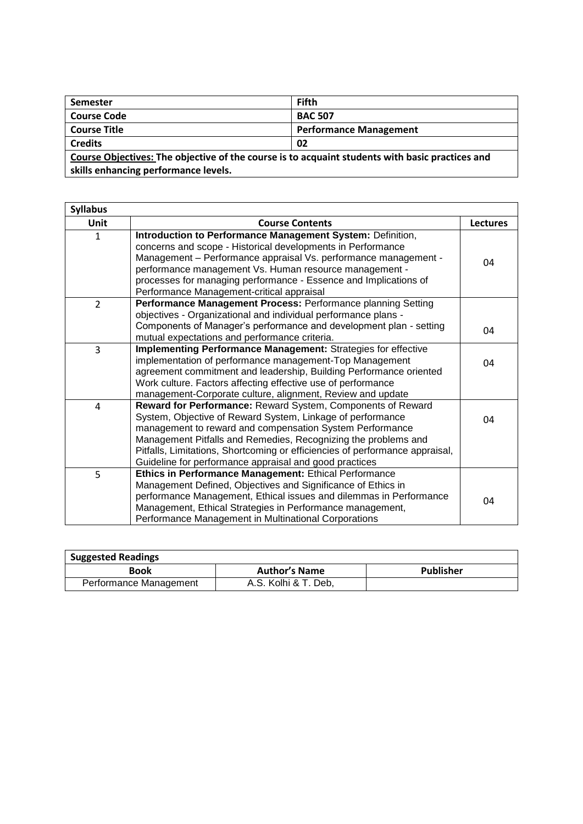| <b>Semester</b>                                                                                 | <b>Fifth</b>                  |  |
|-------------------------------------------------------------------------------------------------|-------------------------------|--|
| <b>Course Code</b>                                                                              | <b>BAC 507</b>                |  |
| <b>Course Title</b>                                                                             | <b>Performance Management</b> |  |
| <b>Credits</b>                                                                                  | 02                            |  |
| Course Objectives: The objective of the course is to acquaint students with basic practices and |                               |  |
| skills enhancing performance levels.                                                            |                               |  |

| <b>Syllabus</b> |                                                                                                                                                                                                                                                                                                                                                                                                   |                 |
|-----------------|---------------------------------------------------------------------------------------------------------------------------------------------------------------------------------------------------------------------------------------------------------------------------------------------------------------------------------------------------------------------------------------------------|-----------------|
| Unit            | <b>Course Contents</b>                                                                                                                                                                                                                                                                                                                                                                            | <b>Lectures</b> |
| $\mathbf{1}$    | Introduction to Performance Management System: Definition,<br>concerns and scope - Historical developments in Performance<br>Management - Performance appraisal Vs. performance management -<br>performance management Vs. Human resource management -<br>processes for managing performance - Essence and Implications of<br>Performance Management-critical appraisal                           | 04              |
| $\overline{2}$  | Performance Management Process: Performance planning Setting                                                                                                                                                                                                                                                                                                                                      |                 |
|                 | objectives - Organizational and individual performance plans -<br>Components of Manager's performance and development plan - setting<br>mutual expectations and performance criteria.                                                                                                                                                                                                             | 04              |
| 3               | Implementing Performance Management: Strategies for effective<br>implementation of performance management-Top Management<br>agreement commitment and leadership, Building Performance oriented<br>Work culture. Factors affecting effective use of performance<br>management-Corporate culture, alignment, Review and update                                                                      | 04              |
| 4               | Reward for Performance: Reward System, Components of Reward<br>System, Objective of Reward System, Linkage of performance<br>management to reward and compensation System Performance<br>Management Pitfalls and Remedies, Recognizing the problems and<br>Pitfalls, Limitations, Shortcoming or efficiencies of performance appraisal,<br>Guideline for performance appraisal and good practices | 04              |
| 5               | Ethics in Performance Management: Ethical Performance<br>Management Defined, Objectives and Significance of Ethics in<br>performance Management, Ethical issues and dilemmas in Performance<br>Management, Ethical Strategies in Performance management,<br>Performance Management in Multinational Corporations                                                                                  | 04              |

| <b>Suggested Readings</b> |                      |                  |
|---------------------------|----------------------|------------------|
| Book                      | <b>Author's Name</b> | <b>Publisher</b> |
| Performance Management    | A.S. Kolhi & T. Deb, |                  |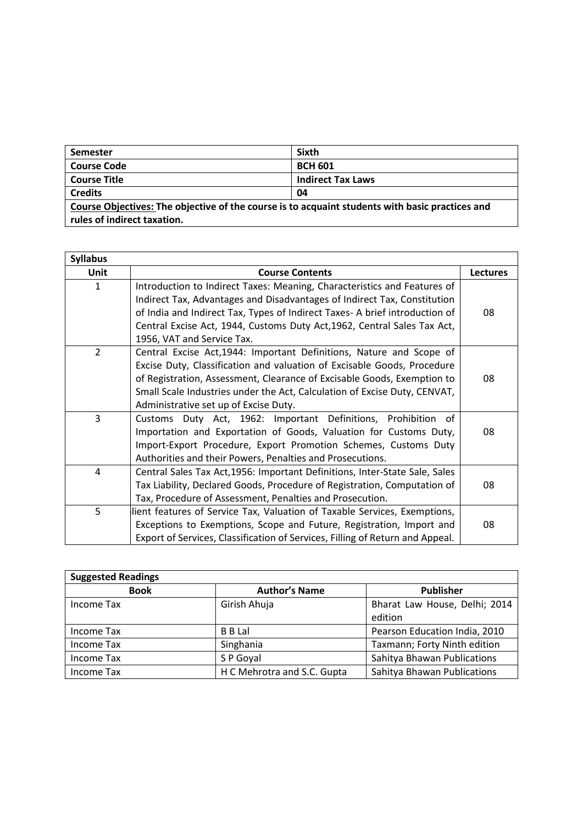| Semester                                                                                        | <b>Sixth</b>             |  |
|-------------------------------------------------------------------------------------------------|--------------------------|--|
| <b>Course Code</b>                                                                              | <b>BCH 601</b>           |  |
| <b>Course Title</b>                                                                             | <b>Indirect Tax Laws</b> |  |
| <b>Credits</b>                                                                                  | 04                       |  |
| Course Objectives: The objective of the course is to acquaint students with basic practices and |                          |  |
| rules of indirect taxation.                                                                     |                          |  |

| <b>Syllabus</b> |                                                                               |          |
|-----------------|-------------------------------------------------------------------------------|----------|
| Unit            | <b>Course Contents</b>                                                        | Lectures |
| $\mathbf{1}$    | Introduction to Indirect Taxes: Meaning, Characteristics and Features of      |          |
|                 | Indirect Tax, Advantages and Disadvantages of Indirect Tax, Constitution      |          |
|                 | of India and Indirect Tax, Types of Indirect Taxes- A brief introduction of   | 08       |
|                 | Central Excise Act, 1944, Customs Duty Act, 1962, Central Sales Tax Act,      |          |
|                 | 1956, VAT and Service Tax.                                                    |          |
| $\overline{2}$  | Central Excise Act, 1944: Important Definitions, Nature and Scope of          |          |
|                 | Excise Duty, Classification and valuation of Excisable Goods, Procedure       |          |
|                 | of Registration, Assessment, Clearance of Excisable Goods, Exemption to       | 08       |
|                 | Small Scale Industries under the Act, Calculation of Excise Duty, CENVAT,     |          |
|                 | Administrative set up of Excise Duty.                                         |          |
| $\overline{3}$  | Customs Duty Act, 1962: Important Definitions, Prohibition<br>of              |          |
|                 | Importation and Exportation of Goods, Valuation for Customs Duty,             | 08       |
|                 | Import-Export Procedure, Export Promotion Schemes, Customs Duty               |          |
|                 | Authorities and their Powers, Penalties and Prosecutions.                     |          |
| 4               | Central Sales Tax Act, 1956: Important Definitions, Inter-State Sale, Sales   |          |
|                 | Tax Liability, Declared Goods, Procedure of Registration, Computation of      | 08       |
|                 | Tax, Procedure of Assessment, Penalties and Prosecution.                      |          |
| 5               | lient features of Service Tax, Valuation of Taxable Services, Exemptions,     |          |
|                 | Exceptions to Exemptions, Scope and Future, Registration, Import and          | 08       |
|                 | Export of Services, Classification of Services, Filling of Return and Appeal. |          |

| <b>Suggested Readings</b> |                             |                                          |  |
|---------------------------|-----------------------------|------------------------------------------|--|
| <b>Book</b>               | <b>Author's Name</b>        | <b>Publisher</b>                         |  |
| Income Tax                | Girish Ahuja                | Bharat Law House, Delhi; 2014<br>edition |  |
| Income Tax                | <b>B</b> B Lal              | Pearson Education India, 2010            |  |
| Income Tax                | Singhania                   | Taxmann; Forty Ninth edition             |  |
| Income Tax                | S P Goyal                   | Sahitya Bhawan Publications              |  |
| Income Tax                | H C Mehrotra and S.C. Gupta | Sahitya Bhawan Publications              |  |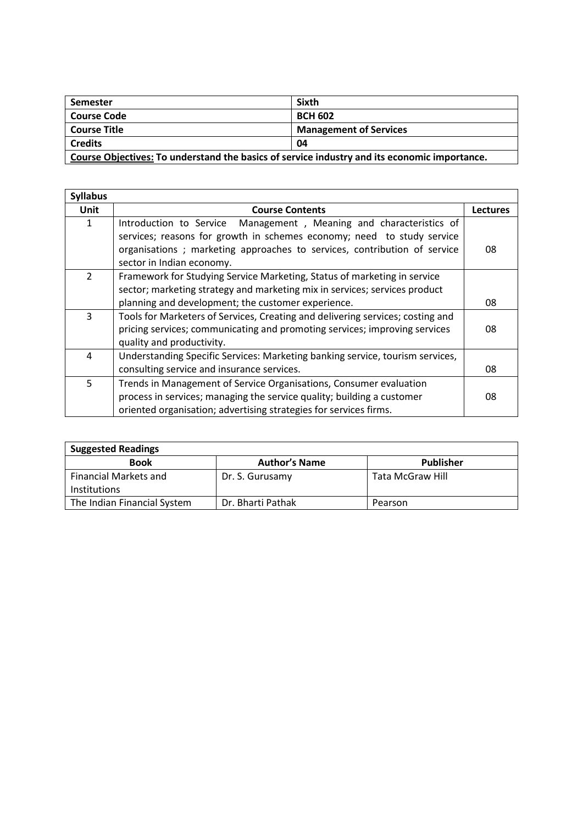| Semester                                                                                     | Sixth                         |  |
|----------------------------------------------------------------------------------------------|-------------------------------|--|
| <b>Course Code</b>                                                                           | <b>BCH 602</b>                |  |
| <b>Course Title</b>                                                                          | <b>Management of Services</b> |  |
| <b>Credits</b>                                                                               | 04                            |  |
| Course Objectives: To understand the basics of service industry and its economic importance. |                               |  |

| <b>Syllabus</b> |                                                                                |                 |
|-----------------|--------------------------------------------------------------------------------|-----------------|
| <b>Unit</b>     | <b>Course Contents</b>                                                         | <b>Lectures</b> |
| 1               | Management, Meaning and characteristics of<br>Introduction to Service          |                 |
|                 | services; reasons for growth in schemes economy; need to study service         |                 |
|                 | organisations; marketing approaches to services, contribution of service       | 08              |
|                 | sector in Indian economy.                                                      |                 |
| $\overline{2}$  | Framework for Studying Service Marketing, Status of marketing in service       |                 |
|                 | sector; marketing strategy and marketing mix in services; services product     |                 |
|                 | planning and development; the customer experience.                             | 08              |
| 3               | Tools for Marketers of Services, Creating and delivering services; costing and |                 |
|                 | pricing services; communicating and promoting services; improving services     | 08              |
|                 | quality and productivity.                                                      |                 |
| 4               | Understanding Specific Services: Marketing banking service, tourism services,  |                 |
|                 | consulting service and insurance services.                                     | 08              |
| 5               | Trends in Management of Service Organisations, Consumer evaluation             |                 |
|                 | process in services; managing the service quality; building a customer         | 08              |
|                 | oriented organisation; advertising strategies for services firms.              |                 |

| <b>Suggested Readings</b>                           |                      |                  |
|-----------------------------------------------------|----------------------|------------------|
| <b>Book</b>                                         | <b>Author's Name</b> | Publisher        |
| <b>Financial Markets and</b><br><b>Institutions</b> | Dr. S. Gurusamy      | Tata McGraw Hill |
|                                                     |                      |                  |
| The Indian Financial System                         | Dr. Bharti Pathak    | Pearson          |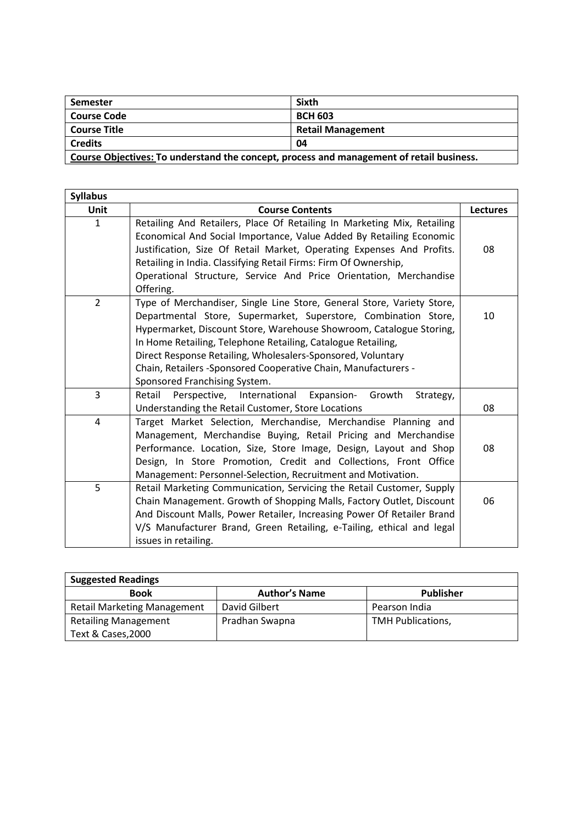| Semester                                                                                 | <b>Sixth</b>             |  |
|------------------------------------------------------------------------------------------|--------------------------|--|
| <b>Course Code</b>                                                                       | <b>BCH 603</b>           |  |
| <b>Course Title</b>                                                                      | <b>Retail Management</b> |  |
| <b>Credits</b>                                                                           | 04                       |  |
| Course Objectives: To understand the concept, process and management of retail business. |                          |  |

| <b>Syllabus</b> |                                                                                                                                                                                                                                                                                                                                                                                                                                                    |                 |
|-----------------|----------------------------------------------------------------------------------------------------------------------------------------------------------------------------------------------------------------------------------------------------------------------------------------------------------------------------------------------------------------------------------------------------------------------------------------------------|-----------------|
| Unit            | <b>Course Contents</b>                                                                                                                                                                                                                                                                                                                                                                                                                             | <b>Lectures</b> |
| $\mathbf{1}$    | Retailing And Retailers, Place Of Retailing In Marketing Mix, Retailing<br>Economical And Social Importance, Value Added By Retailing Economic<br>Justification, Size Of Retail Market, Operating Expenses And Profits.<br>Retailing in India. Classifying Retail Firms: Firm Of Ownership,<br>Operational Structure, Service And Price Orientation, Merchandise<br>Offering.                                                                      | 08              |
| $\overline{2}$  | Type of Merchandiser, Single Line Store, General Store, Variety Store,<br>Departmental Store, Supermarket, Superstore, Combination Store,<br>Hypermarket, Discount Store, Warehouse Showroom, Catalogue Storing,<br>In Home Retailing, Telephone Retailing, Catalogue Retailing,<br>Direct Response Retailing, Wholesalers-Sponsored, Voluntary<br>Chain, Retailers -Sponsored Cooperative Chain, Manufacturers -<br>Sponsored Franchising System. | 10              |
| 3               | Perspective, International<br>Growth<br>Retail<br><b>Expansion-</b><br>Strategy,<br>Understanding the Retail Customer, Store Locations                                                                                                                                                                                                                                                                                                             | 08              |
| $\overline{4}$  | Target Market Selection, Merchandise, Merchandise Planning and<br>Management, Merchandise Buying, Retail Pricing and Merchandise<br>Performance. Location, Size, Store Image, Design, Layout and Shop<br>Design, In Store Promotion, Credit and Collections, Front Office<br>Management: Personnel-Selection, Recruitment and Motivation.                                                                                                          | 08              |
| 5               | Retail Marketing Communication, Servicing the Retail Customer, Supply<br>Chain Management. Growth of Shopping Malls, Factory Outlet, Discount<br>And Discount Malls, Power Retailer, Increasing Power Of Retailer Brand<br>V/S Manufacturer Brand, Green Retailing, e-Tailing, ethical and legal<br>issues in retailing.                                                                                                                           | 06              |

| <b>Suggested Readings</b>          |                      |                          |
|------------------------------------|----------------------|--------------------------|
| <b>Book</b>                        | <b>Author's Name</b> | Publisher                |
| <b>Retail Marketing Management</b> | David Gilbert        | Pearson India            |
| <b>Retailing Management</b>        | Pradhan Swapna       | <b>TMH Publications,</b> |
| Text & Cases, 2000                 |                      |                          |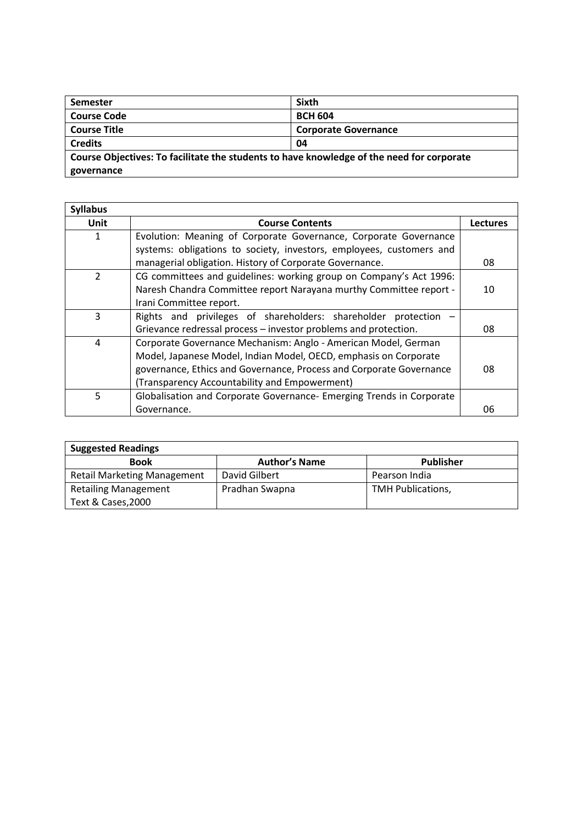| <b>Semester</b>                                                                           | <b>Sixth</b>                |
|-------------------------------------------------------------------------------------------|-----------------------------|
| <b>Course Code</b>                                                                        | <b>BCH 604</b>              |
| <b>Course Title</b>                                                                       | <b>Corporate Governance</b> |
| <b>Credits</b>                                                                            | 04                          |
| Course Objectives: To facilitate the students to have knowledge of the need for corporate |                             |
| governance                                                                                |                             |

| <b>Syllabus</b> |                                                                      |                 |
|-----------------|----------------------------------------------------------------------|-----------------|
| Unit            | <b>Course Contents</b>                                               | <b>Lectures</b> |
|                 | Evolution: Meaning of Corporate Governance, Corporate Governance     |                 |
|                 | systems: obligations to society, investors, employees, customers and |                 |
|                 | managerial obligation. History of Corporate Governance.              | 08              |
| $\overline{2}$  | CG committees and guidelines: working group on Company's Act 1996:   |                 |
|                 | Naresh Chandra Committee report Narayana murthy Committee report -   | 10              |
|                 | Irani Committee report.                                              |                 |
| 3               | Rights and privileges of shareholders: shareholder protection        |                 |
|                 | Grievance redressal process - investor problems and protection.      | 08              |
| 4               | Corporate Governance Mechanism: Anglo - American Model, German       |                 |
|                 | Model, Japanese Model, Indian Model, OECD, emphasis on Corporate     |                 |
|                 | governance, Ethics and Governance, Process and Corporate Governance  | 08              |
|                 | (Transparency Accountability and Empowerment)                        |                 |
| 5               | Globalisation and Corporate Governance- Emerging Trends in Corporate |                 |
|                 | Governance.                                                          | 06              |

| <b>Suggested Readings</b>          |                      |                          |  |
|------------------------------------|----------------------|--------------------------|--|
| <b>Book</b>                        | <b>Author's Name</b> | <b>Publisher</b>         |  |
| <b>Retail Marketing Management</b> | David Gilbert        | Pearson India            |  |
| <b>Retailing Management</b>        | Pradhan Swapna       | <b>TMH Publications,</b> |  |
| Text & Cases, 2000                 |                      |                          |  |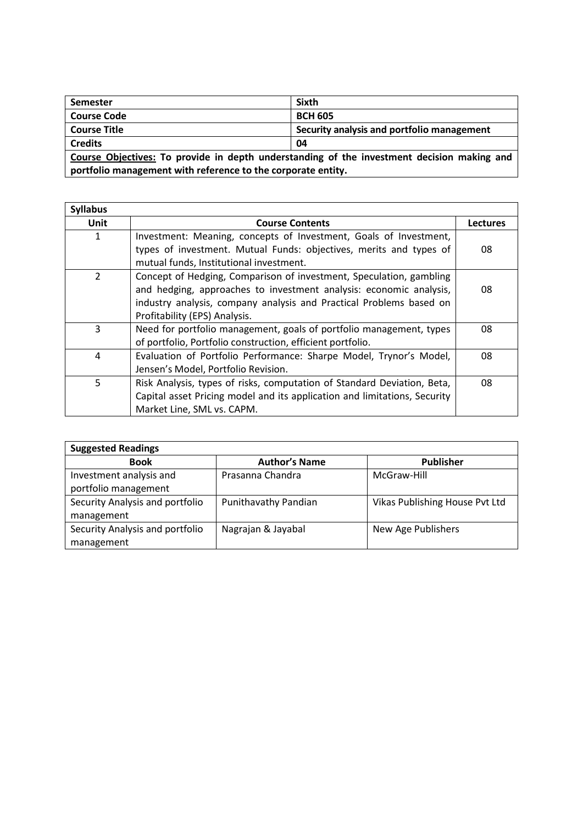| <b>Semester</b>                                                                            | <b>Sixth</b>                               |  |
|--------------------------------------------------------------------------------------------|--------------------------------------------|--|
| <b>Course Code</b>                                                                         | <b>BCH 605</b>                             |  |
| <b>Course Title</b>                                                                        | Security analysis and portfolio management |  |
| <b>Credits</b>                                                                             | 04                                         |  |
| Course Objectives: To provide in depth understanding of the investment decision making and |                                            |  |
| portfolio management with reference to the corporate entity.                               |                                            |  |

| <b>Syllabus</b> |                                                                                                                                                                                                                                                   |                 |
|-----------------|---------------------------------------------------------------------------------------------------------------------------------------------------------------------------------------------------------------------------------------------------|-----------------|
| Unit            | <b>Course Contents</b>                                                                                                                                                                                                                            | <b>Lectures</b> |
| 1               | Investment: Meaning, concepts of Investment, Goals of Investment,<br>types of investment. Mutual Funds: objectives, merits and types of<br>mutual funds, Institutional investment.                                                                | 08              |
| $\mathcal{P}$   | Concept of Hedging, Comparison of investment, Speculation, gambling<br>and hedging, approaches to investment analysis: economic analysis,<br>industry analysis, company analysis and Practical Problems based on<br>Profitability (EPS) Analysis. | 08              |
| 3               | Need for portfolio management, goals of portfolio management, types<br>of portfolio, Portfolio construction, efficient portfolio.                                                                                                                 | 08              |
| 4               | Evaluation of Portfolio Performance: Sharpe Model, Trynor's Model,<br>Jensen's Model, Portfolio Revision.                                                                                                                                         | 08              |
| 5               | Risk Analysis, types of risks, computation of Standard Deviation, Beta,<br>Capital asset Pricing model and its application and limitations, Security<br>Market Line, SML vs. CAPM.                                                                | 08              |

| <b>Suggested Readings</b>                       |                      |                                |  |
|-------------------------------------------------|----------------------|--------------------------------|--|
| <b>Book</b>                                     | <b>Author's Name</b> | <b>Publisher</b>               |  |
| Investment analysis and<br>portfolio management | Prasanna Chandra     | McGraw-Hill                    |  |
| Security Analysis and portfolio<br>management   | Punithavathy Pandian | Vikas Publishing House Pvt Ltd |  |
| Security Analysis and portfolio<br>management   | Nagrajan & Jayabal   | New Age Publishers             |  |